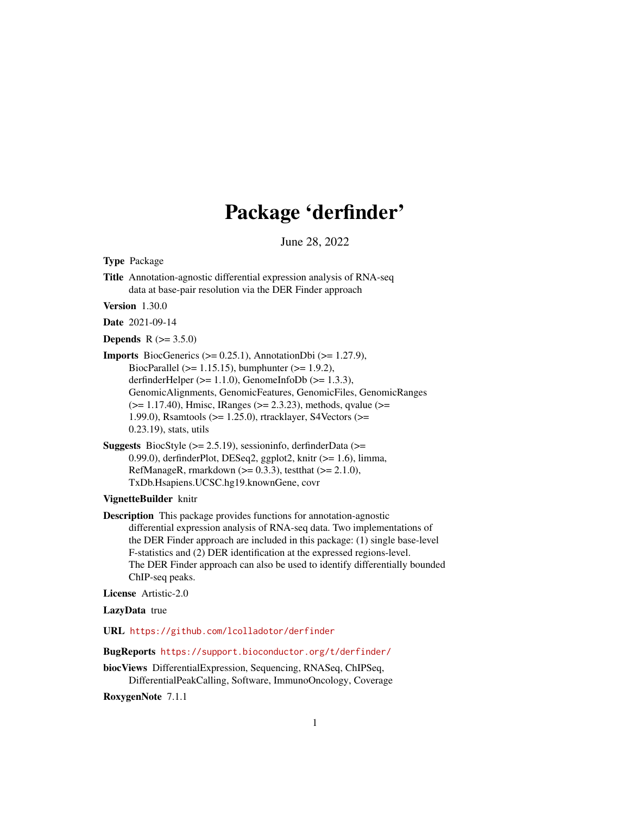# Package 'derfinder'

June 28, 2022

<span id="page-0-0"></span>Type Package

Title Annotation-agnostic differential expression analysis of RNA-seq data at base-pair resolution via the DER Finder approach

Version 1.30.0

Date 2021-09-14

**Depends** R  $(>= 3.5.0)$ 

**Imports** BiocGenerics  $(>= 0.25.1)$ , AnnotationDbi  $(>= 1.27.9)$ , BiocParallel ( $> = 1.15.15$ ), bumphunter ( $> = 1.9.2$ ), derfinderHelper ( $>= 1.1.0$ ), GenomeInfoDb ( $>= 1.3.3$ ), GenomicAlignments, GenomicFeatures, GenomicFiles, GenomicRanges (>= 1.17.40), Hmisc, IRanges (>= 2.3.23), methods, qvalue (>= 1.99.0), Rsamtools (>= 1.25.0), rtracklayer, S4Vectors (>= 0.23.19), stats, utils

Suggests BiocStyle  $(>= 2.5.19)$ , sessioninfo, derfinderData  $(>=$ 0.99.0), derfinderPlot, DESeq2, ggplot2, knitr (>= 1.6), limma, RefManageR, rmarkdown  $(>= 0.3.3)$ , testthat  $(>= 2.1.0)$ , TxDb.Hsapiens.UCSC.hg19.knownGene, covr

# VignetteBuilder knitr

Description This package provides functions for annotation-agnostic differential expression analysis of RNA-seq data. Two implementations of the DER Finder approach are included in this package: (1) single base-level F-statistics and (2) DER identification at the expressed regions-level. The DER Finder approach can also be used to identify differentially bounded ChIP-seq peaks.

License Artistic-2.0

LazyData true

URL <https://github.com/lcolladotor/derfinder>

BugReports <https://support.bioconductor.org/t/derfinder/>

biocViews DifferentialExpression, Sequencing, RNASeq, ChIPSeq, DifferentialPeakCalling, Software, ImmunoOncology, Coverage

RoxygenNote 7.1.1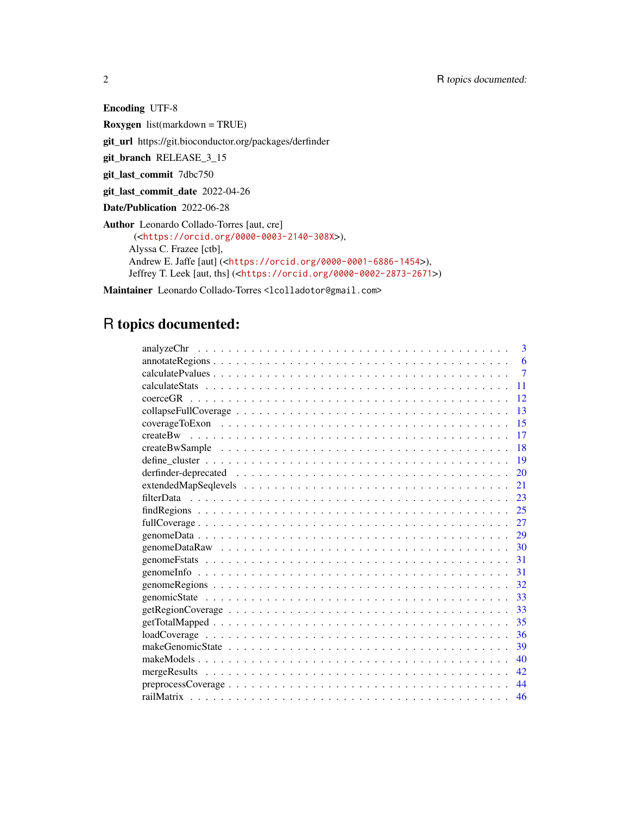Encoding UTF-8 Roxygen list(markdown = TRUE) git\_url https://git.bioconductor.org/packages/derfinder git\_branch RELEASE\_3\_15 git\_last\_commit 7dbc750 git\_last\_commit\_date 2022-04-26 Date/Publication 2022-06-28 Author Leonardo Collado-Torres [aut, cre] (<<https://orcid.org/0000-0003-2140-308X>>), Alyssa C. Frazee [ctb], Andrew E. Jaffe [aut] (<<https://orcid.org/0000-0001-6886-1454>>), Jeffrey T. Leek [aut, ths] (<<https://orcid.org/0000-0002-2873-2671>>)

Maintainer Leonardo Collado-Torres <lcolladotor@gmail.com>

# R topics documented:

| 3              |
|----------------|
| 6              |
| $\overline{7}$ |
| 11             |
| 12             |
| 13             |
| 15             |
| 17             |
| 18             |
| 19             |
| 20             |
| 21             |
| 23             |
| 25             |
| 27             |
| 29             |
| 30             |
| 31             |
| 31             |
| 32             |
| 33             |
| 33             |
| 35             |
| 36             |
| 39             |
| 40             |
| 42.            |
| 44             |
| 46             |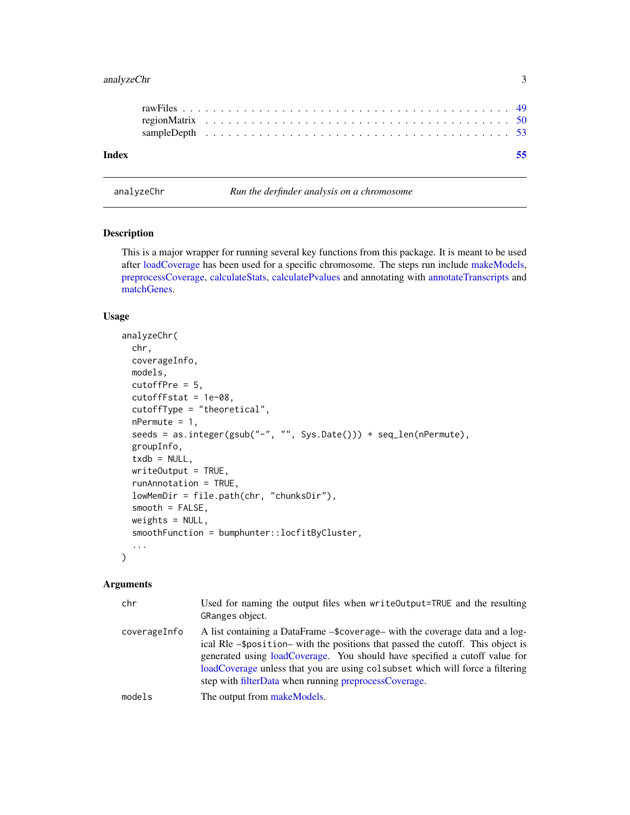# <span id="page-2-0"></span>analyzeChr 3

| Index |  |  |  |  |  |  |  |  |  |  |  |  |  |  |  |  |  |  |  |  |  |
|-------|--|--|--|--|--|--|--|--|--|--|--|--|--|--|--|--|--|--|--|--|--|
|       |  |  |  |  |  |  |  |  |  |  |  |  |  |  |  |  |  |  |  |  |  |

<span id="page-2-1"></span>analyzeChr *Run the derfinder analysis on a chromosome*

# Description

This is a major wrapper for running several key functions from this package. It is meant to be used after [loadCoverage](#page-35-1) has been used for a specific chromosome. The steps run include [makeModels,](#page-39-1) [preprocessCoverage,](#page-43-1) [calculateStats,](#page-10-1) [calculatePvalues](#page-6-1) and annotating with [annotateTranscripts](#page-0-0) and [matchGenes.](#page-0-0)

# Usage

```
analyzeChr(
  chr,
  coverageInfo,
 models,
  cutoffPre = 5,
  cutoffFstat = 1e-08,
  cutoffType = "theoretical",
  nPermute = 1,
  seeds = as.integer(gsub("-", "", Sys.Date())) + seq_len(nPermute),
  groupInfo,
  txdb = NULL,writeOutput = TRUE,
  runAnnotation = TRUE,
  lowMemDir = file.path(chr, "chunksDir"),
  smooth = FALSE,
  weights = NULL,
  smoothFunction = bumphunter::locfitByCluster,
  ...
\mathcal{L}
```
#### Arguments

| chr          | Used for naming the output files when writeOutput=TRUE and the resulting<br>GRanges object.                                                                                                                                                                                                                                                                                               |
|--------------|-------------------------------------------------------------------------------------------------------------------------------------------------------------------------------------------------------------------------------------------------------------------------------------------------------------------------------------------------------------------------------------------|
| coverageInfo | A list containing a DataFrame – \$coverage – with the coverage data and a log-<br>ical RIe -\$position- with the positions that passed the cutoff. This object is<br>generated using loadCoverage. You should have specified a cutoff value for<br>loadCoverage unless that you are using colsubset which will force a filtering<br>step with filterData when running preprocessCoverage. |
| models       | The output from makeModels.                                                                                                                                                                                                                                                                                                                                                               |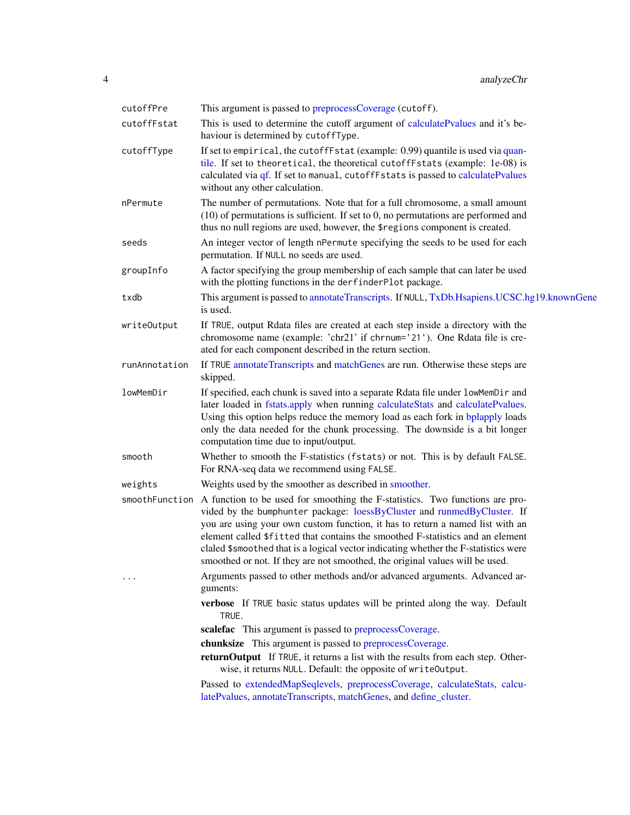<span id="page-3-0"></span>

| cutoffPre      | This argument is passed to preprocessCoverage (cutoff).                                                                                                                                                                                                                                                                                                                                                                                                                                           |
|----------------|---------------------------------------------------------------------------------------------------------------------------------------------------------------------------------------------------------------------------------------------------------------------------------------------------------------------------------------------------------------------------------------------------------------------------------------------------------------------------------------------------|
| cutoffFstat    | This is used to determine the cutoff argument of calculatePvalues and it's be-<br>haviour is determined by cutoffType.                                                                                                                                                                                                                                                                                                                                                                            |
| cutoffType     | If set to empirical, the cutoffFstat (example: 0.99) quantile is used via quan-<br>tile. If set to theoretical, the theoretical cutoffFstats (example: 1e-08) is<br>calculated via qf. If set to manual, cutoffFstats is passed to calculatePvalues<br>without any other calculation.                                                                                                                                                                                                             |
| nPermute       | The number of permutations. Note that for a full chromosome, a small amount<br>$(10)$ of permutations is sufficient. If set to 0, no permutations are performed and<br>thus no null regions are used, however, the \$regions component is created.                                                                                                                                                                                                                                                |
| seeds          | An integer vector of length nPermute specifying the seeds to be used for each<br>permutation. If NULL no seeds are used.                                                                                                                                                                                                                                                                                                                                                                          |
| groupInfo      | A factor specifying the group membership of each sample that can later be used<br>with the plotting functions in the derfinderPlot package.                                                                                                                                                                                                                                                                                                                                                       |
| txdb           | This argument is passed to annotate Transcripts. If NULL, TxDb.Hsapiens.UCSC.hg19.knownGene<br>is used.                                                                                                                                                                                                                                                                                                                                                                                           |
| writeOutput    | If TRUE, output Rdata files are created at each step inside a directory with the<br>chromosome name (example: 'chr21' if chrnum='21'). One Rdata file is cre-<br>ated for each component described in the return section.                                                                                                                                                                                                                                                                         |
| runAnnotation  | If TRUE annotate Transcripts and matchGenes are run. Otherwise these steps are<br>skipped.                                                                                                                                                                                                                                                                                                                                                                                                        |
| lowMemDir      | If specified, each chunk is saved into a separate Rdata file under lowMemDir and<br>later loaded in fstats.apply when running calculateStats and calculatePvalues.<br>Using this option helps reduce the memory load as each fork in bplapply loads<br>only the data needed for the chunk processing. The downside is a bit longer<br>computation time due to input/output.                                                                                                                       |
| smooth         | Whether to smooth the F-statistics (fstats) or not. This is by default FALSE.<br>For RNA-seq data we recommend using FALSE.                                                                                                                                                                                                                                                                                                                                                                       |
| weights        | Weights used by the smoother as described in smoother.                                                                                                                                                                                                                                                                                                                                                                                                                                            |
| smoothFunction | A function to be used for smoothing the F-statistics. Two functions are pro-<br>vided by the bumphunter package: loessByCluster and runmedByCluster. If<br>you are using your own custom function, it has to return a named list with an<br>element called \$fitted that contains the smoothed F-statistics and an element<br>claled \$smoothed that is a logical vector indicating whether the F-statistics were<br>smoothed or not. If they are not smoothed, the original values will be used. |
|                | Arguments passed to other methods and/or advanced arguments. Advanced ar-<br>guments:                                                                                                                                                                                                                                                                                                                                                                                                             |
|                | verbose If TRUE basic status updates will be printed along the way. Default<br>TRUE.                                                                                                                                                                                                                                                                                                                                                                                                              |
|                | scalefac This argument is passed to preprocessCoverage.                                                                                                                                                                                                                                                                                                                                                                                                                                           |
|                | chunksize This argument is passed to preprocessCoverage.<br>returnOutput If TRUE, it returns a list with the results from each step. Other-<br>wise, it returns NULL. Default: the opposite of writeOutput.                                                                                                                                                                                                                                                                                       |
|                | Passed to extendedMapSeqlevels, preprocessCoverage, calculateStats, calcu-<br>latePvalues, annotateTranscripts, matchGenes, and define_cluster.                                                                                                                                                                                                                                                                                                                                                   |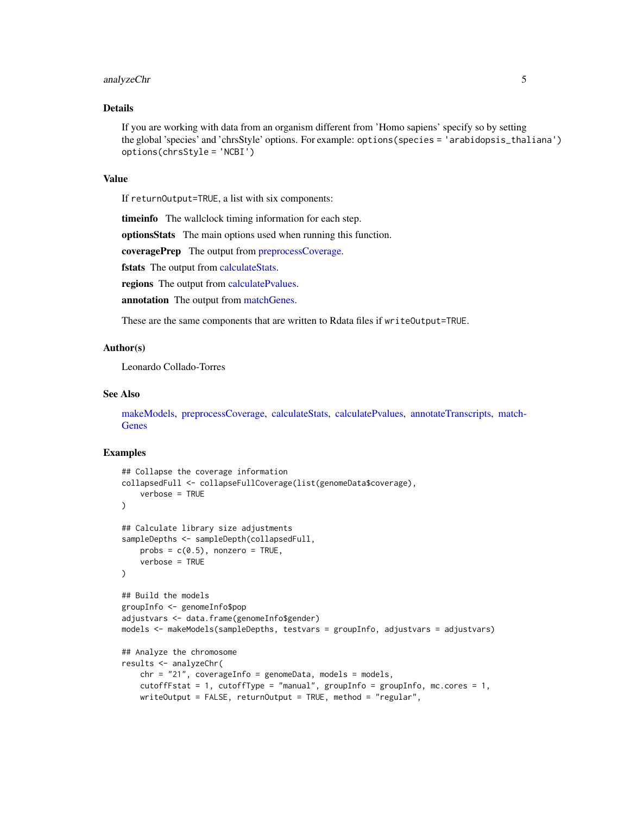# <span id="page-4-0"></span>analyzeChr 5

# Details

If you are working with data from an organism different from 'Homo sapiens' specify so by setting the global 'species' and 'chrsStyle' options. For example: options(species = 'arabidopsis\_thaliana') options(chrsStyle = 'NCBI')

#### Value

If returnOutput=TRUE, a list with six components:

timeinfo The wallclock timing information for each step.

optionsStats The main options used when running this function.

coveragePrep The output from [preprocessCoverage.](#page-43-1)

fstats The output from [calculateStats.](#page-10-1)

regions The output from [calculatePvalues.](#page-6-1)

annotation The output from [matchGenes.](#page-0-0)

These are the same components that are written to Rdata files if writeOutput=TRUE.

# Author(s)

Leonardo Collado-Torres

# See Also

[makeModels,](#page-39-1) [preprocessCoverage,](#page-43-1) [calculateStats,](#page-10-1) [calculatePvalues,](#page-6-1) [annotateTranscripts,](#page-0-0) [match-](#page-0-0)[Genes](#page-0-0)

```
## Collapse the coverage information
collapsedFull <- collapseFullCoverage(list(genomeData$coverage),
    verbose = TRUE
)
## Calculate library size adjustments
sampleDepths <- sampleDepth(collapsedFull,
   probs = c(0.5), nonzero = TRUE,
    verbose = TRUE
\lambda## Build the models
groupInfo <- genomeInfo$pop
adjustvars <- data.frame(genomeInfo$gender)
models <- makeModels(sampleDepths, testvars = groupInfo, adjustvars = adjustvars)
## Analyze the chromosome
results <- analyzeChr(
    chr = "21", coverageInfo = genomeData, models = models,cutoffFstat = 1, cutoffType = "manual", groupInfo = groupInfo, mc.cores = 1,
   writeOutput = FALSE, returnOutput = TRUE, method = "regular",
```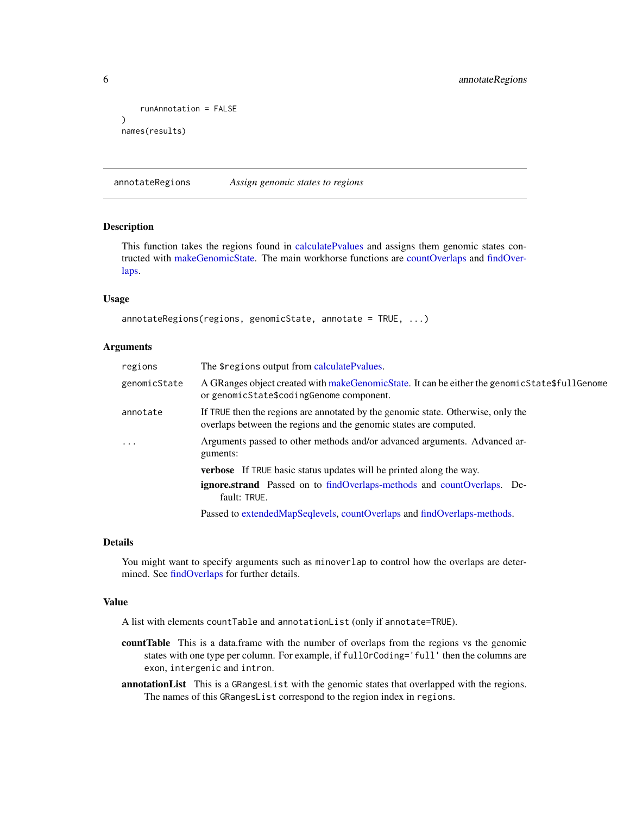```
runAnnotation = FALSE
\mathcal{L}names(results)
```
<span id="page-5-1"></span>annotateRegions *Assign genomic states to regions*

# Description

This function takes the regions found in [calculatePvalues](#page-6-1) and assigns them genomic states contructed with [makeGenomicState.](#page-38-1) The main workhorse functions are [countOverlaps](#page-0-0) and [findOver](#page-0-0)[laps.](#page-0-0)

# Usage

```
annotateRegions(regions, genomicState, annotate = TRUE, ...)
```
#### Arguments

| regions      | The \$regions output from calculatePvalues.                                                                                                           |
|--------------|-------------------------------------------------------------------------------------------------------------------------------------------------------|
| genomicState | A GRanges object created with makeGenomicState. It can be either the genomicState\$fullGenome<br>or genomicState\$codingGenome component.             |
| annotate     | If TRUE then the regions are annotated by the genomic state. Otherwise, only the<br>overlaps between the regions and the genomic states are computed. |
| $\ddotsc$    | Arguments passed to other methods and/or advanced arguments. Advanced ar-<br>guments:                                                                 |
|              | <b>verbose</b> If TRUE basic status updates will be printed along the way.                                                                            |
|              | <b>ignore.strand</b> Passed on to findOverlaps-methods and countOverlaps. De-<br>fault: TRUE.                                                         |
|              | Passed to extendedMapSeqlevels, countOverlaps and findOverlaps-methods.                                                                               |

# Details

You might want to specify arguments such as minoverlap to control how the overlaps are determined. See [findOverlaps](#page-0-0) for further details.

#### Value

A list with elements countTable and annotationList (only if annotate=TRUE).

- countTable This is a data.frame with the number of overlaps from the regions vs the genomic states with one type per column. For example, if fullOrCoding='full' then the columns are exon, intergenic and intron.
- annotationList This is a GRangesList with the genomic states that overlapped with the regions. The names of this GRangesList correspond to the region index in regions.

<span id="page-5-0"></span>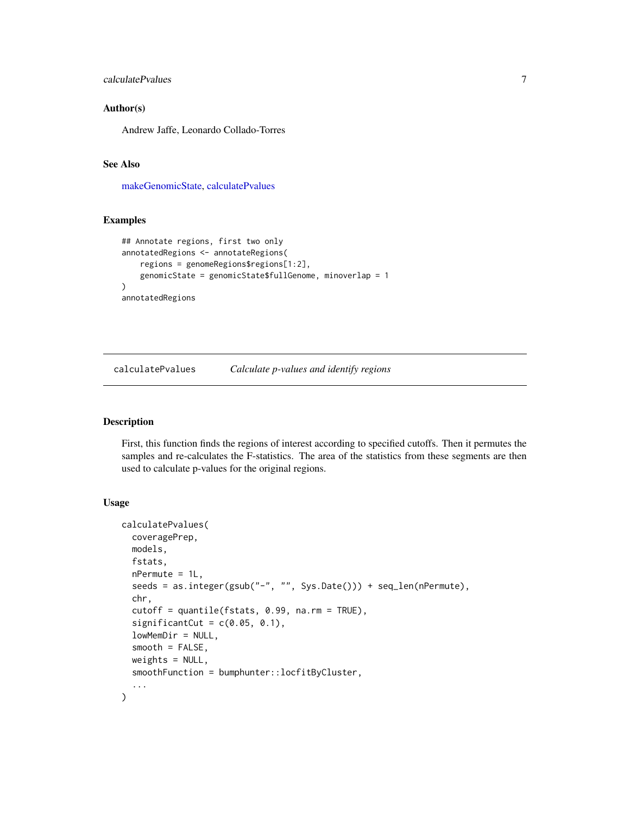# <span id="page-6-0"></span>calculatePvalues 7

# Author(s)

Andrew Jaffe, Leonardo Collado-Torres

# See Also

[makeGenomicState,](#page-38-1) [calculatePvalues](#page-6-1)

# Examples

```
## Annotate regions, first two only
annotatedRegions <- annotateRegions(
    regions = genomeRegions$regions[1:2],
    genomicState = genomicState$fullGenome, minoverlap = 1
\mathcal{L}annotatedRegions
```
<span id="page-6-1"></span>calculatePvalues *Calculate p-values and identify regions*

# Description

First, this function finds the regions of interest according to specified cutoffs. Then it permutes the samples and re-calculates the F-statistics. The area of the statistics from these segments are then used to calculate p-values for the original regions.

# Usage

```
calculatePvalues(
  coveragePrep,
 models,
  fstats,
  nPermute = 1L,
  seeds = as.integer(gsub("-", "", Sys.Date())) + seq_len(nPermute),
  chr,
  cutoff = quantile(fstats, 0.99, na.rm = TRUE),
  significantCut = c(0.05, 0.1),
  lowMemDir = NULL,
  smooth = FALSE,
 weights = NULL,smoothFunction = bumphunter::locfitByCluster,
  ...
)
```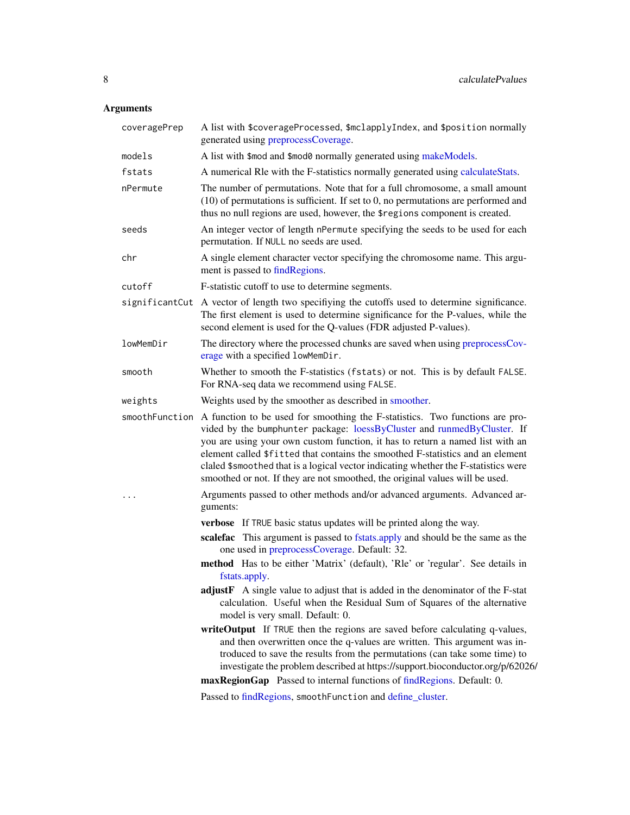# <span id="page-7-0"></span>Arguments

| coveragePrep | A list with \$coverageProcessed, \$mclapplyIndex, and \$position normally<br>generated using preprocessCoverage.                                                                                                                                                                                                                                                                                                                                                                                                 |
|--------------|------------------------------------------------------------------------------------------------------------------------------------------------------------------------------------------------------------------------------------------------------------------------------------------------------------------------------------------------------------------------------------------------------------------------------------------------------------------------------------------------------------------|
| models       | A list with \$mod and \$mod0 normally generated using makeModels.                                                                                                                                                                                                                                                                                                                                                                                                                                                |
| fstats       | A numerical RIe with the F-statistics normally generated using calculateStats.                                                                                                                                                                                                                                                                                                                                                                                                                                   |
| nPermute     | The number of permutations. Note that for a full chromosome, a small amount<br>$(10)$ of permutations is sufficient. If set to 0, no permutations are performed and<br>thus no null regions are used, however, the \$regions component is created.                                                                                                                                                                                                                                                               |
| seeds        | An integer vector of length nPermute specifying the seeds to be used for each<br>permutation. If NULL no seeds are used.                                                                                                                                                                                                                                                                                                                                                                                         |
| chr          | A single element character vector specifying the chromosome name. This argu-<br>ment is passed to find Regions.                                                                                                                                                                                                                                                                                                                                                                                                  |
| cutoff       | F-statistic cutoff to use to determine segments.                                                                                                                                                                                                                                                                                                                                                                                                                                                                 |
|              | significantCut A vector of length two specifiying the cutoffs used to determine significance.<br>The first element is used to determine significance for the P-values, while the<br>second element is used for the Q-values (FDR adjusted P-values).                                                                                                                                                                                                                                                             |
| lowMemDir    | The directory where the processed chunks are saved when using preprocessCov-<br>erage with a specified lowMemDir.                                                                                                                                                                                                                                                                                                                                                                                                |
| smooth       | Whether to smooth the F-statistics (fstats) or not. This is by default FALSE.<br>For RNA-seq data we recommend using FALSE.                                                                                                                                                                                                                                                                                                                                                                                      |
| weights      | Weights used by the smoother as described in smoother.                                                                                                                                                                                                                                                                                                                                                                                                                                                           |
|              | smoothFunction A function to be used for smoothing the F-statistics. Two functions are pro-<br>vided by the bumphunter package: loessByCluster and runmedByCluster. If<br>you are using your own custom function, it has to return a named list with an<br>element called \$fitted that contains the smoothed F-statistics and an element<br>claled \$smoothed that is a logical vector indicating whether the F-statistics were<br>smoothed or not. If they are not smoothed, the original values will be used. |
|              | Arguments passed to other methods and/or advanced arguments. Advanced ar-<br>guments:                                                                                                                                                                                                                                                                                                                                                                                                                            |
|              | <b>verbose</b> If TRUE basic status updates will be printed along the way.                                                                                                                                                                                                                                                                                                                                                                                                                                       |
|              | scalefac This argument is passed to fstats.apply and should be the same as the<br>one used in preprocessCoverage. Default: 32.                                                                                                                                                                                                                                                                                                                                                                                   |
|              | method Has to be either 'Matrix' (default), 'Rle' or 'regular'. See details in<br>fstats.apply.                                                                                                                                                                                                                                                                                                                                                                                                                  |
|              | adjustF A single value to adjust that is added in the denominator of the F-stat<br>calculation. Useful when the Residual Sum of Squares of the alternative<br>model is very small. Default: 0.                                                                                                                                                                                                                                                                                                                   |
|              | writeOutput If TRUE then the regions are saved before calculating q-values,<br>and then overwritten once the q-values are written. This argument was in-<br>troduced to save the results from the permutations (can take some time) to<br>investigate the problem described at https://support.bioconductor.org/p/62026/                                                                                                                                                                                         |
|              | maxRegionGap Passed to internal functions of findRegions. Default: 0.                                                                                                                                                                                                                                                                                                                                                                                                                                            |
|              | Passed to findRegions, smoothFunction and define_cluster.                                                                                                                                                                                                                                                                                                                                                                                                                                                        |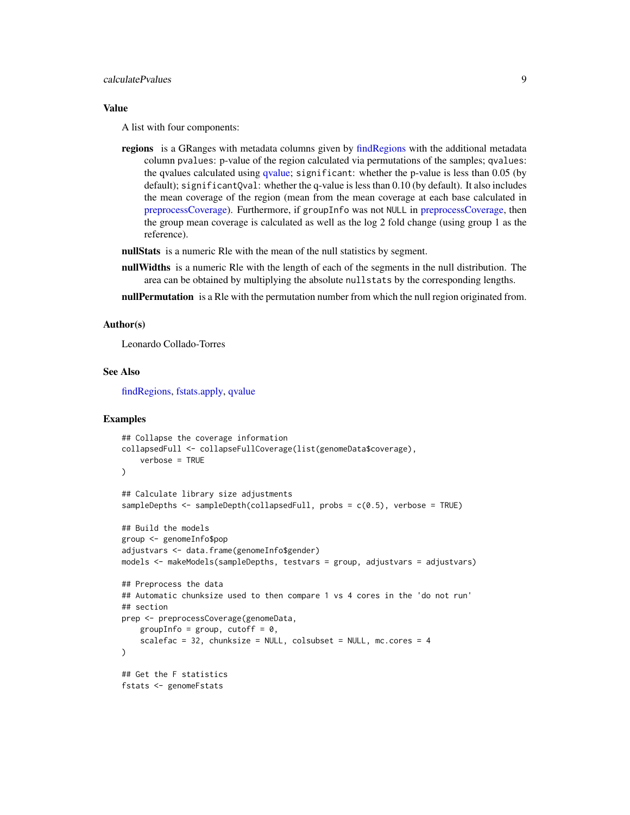# <span id="page-8-0"></span>calculatePvalues 9

# Value

A list with four components:

regions is a GRanges with metadata columns given by [findRegions](#page-24-1) with the additional metadata column pvalues: p-value of the region calculated via permutations of the samples; qvalues: the qvalues calculated using [qvalue;](#page-0-0) significant: whether the p-value is less than 0.05 (by default); significantQval: whether the q-value is less than 0.10 (by default). It also includes the mean coverage of the region (mean from the mean coverage at each base calculated in [preprocessCoverage\)](#page-43-1). Furthermore, if groupInfo was not NULL in [preprocessCoverage,](#page-43-1) then the group mean coverage is calculated as well as the log 2 fold change (using group 1 as the reference).

nullStats is a numeric Rle with the mean of the null statistics by segment.

nullWidths is a numeric Rle with the length of each of the segments in the null distribution. The area can be obtained by multiplying the absolute nullstats by the corresponding lengths.

nullPermutation is a Rle with the permutation number from which the null region originated from.

#### Author(s)

Leonardo Collado-Torres

# See Also

[findRegions,](#page-24-1) [fstats.apply,](#page-0-0) [qvalue](#page-0-0)

```
## Collapse the coverage information
collapsedFull <- collapseFullCoverage(list(genomeData$coverage),
   verbose = TRUE
)
## Calculate library size adjustments
sampleDepths <- sampleDepth(collapsedFull, probs = c(0.5), verbose = TRUE)
## Build the models
group <- genomeInfo$pop
adjustvars <- data.frame(genomeInfo$gender)
models <- makeModels(sampleDepths, testvars = group, adjustvars = adjustvars)
## Preprocess the data
## Automatic chunksize used to then compare 1 vs 4 cores in the 'do not run'
## section
prep <- preprocessCoverage(genomeData,
   groupInfo = group, cutoff = 0,
    scalefac = 32, chunksize = NULL, colsubset = NULL, mc.cores = 4
)
## Get the F statistics
fstats <- genomeFstats
```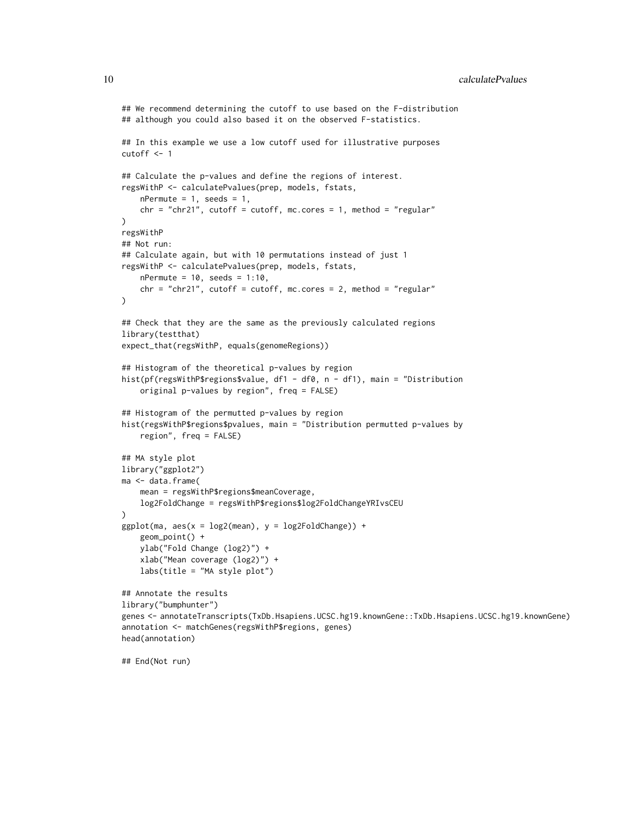```
## We recommend determining the cutoff to use based on the F-distribution
## although you could also based it on the observed F-statistics.
## In this example we use a low cutoff used for illustrative purposes
cutoff <- 1
## Calculate the p-values and define the regions of interest.
regsWithP <- calculatePvalues(prep, models, fstats,
   nPermute = 1, seeds = 1,
   chr = "chr21", cutoff = cutoff, mc.core = 1, method = "regular")
regsWithP
## Not run:
## Calculate again, but with 10 permutations instead of just 1
regsWithP <- calculatePvalues(prep, models, fstats,
   nPermute = 10, seeds = 1:10,
   chr = "chr21", cutoff = cutoff, mc.cores = 2, method = "regular"\mathcal{L}## Check that they are the same as the previously calculated regions
library(testthat)
expect_that(regsWithP, equals(genomeRegions))
## Histogram of the theoretical p-values by region
hist(pf(regsWithP$regions$value, df1 - df0, n - df1), main = "Distribution
   original p-values by region", freq = FALSE)
## Histogram of the permutted p-values by region
hist(regsWithP$regions$pvalues, main = "Distribution permutted p-values by
   region", freq = FALSE)
## MA style plot
library("ggplot2")
ma <- data.frame(
    mean = regsWithP$regions$meanCoverage,
   log2FoldChange = regsWithP$regions$log2FoldChangeYRIvsCEU
\lambdaggplot(max, aes(x = log2(mean), y = log2FoldChange)) +geom_point() +
    ylab("Fold Change (log2)") +
    xlab("Mean coverage (log2)") +
    labs(title = "MA style plot")
## Annotate the results
library("bumphunter")
genes <- annotateTranscripts(TxDb.Hsapiens.UCSC.hg19.knownGene::TxDb.Hsapiens.UCSC.hg19.knownGene)
annotation <- matchGenes(regsWithP$regions, genes)
head(annotation)
## End(Not run)
```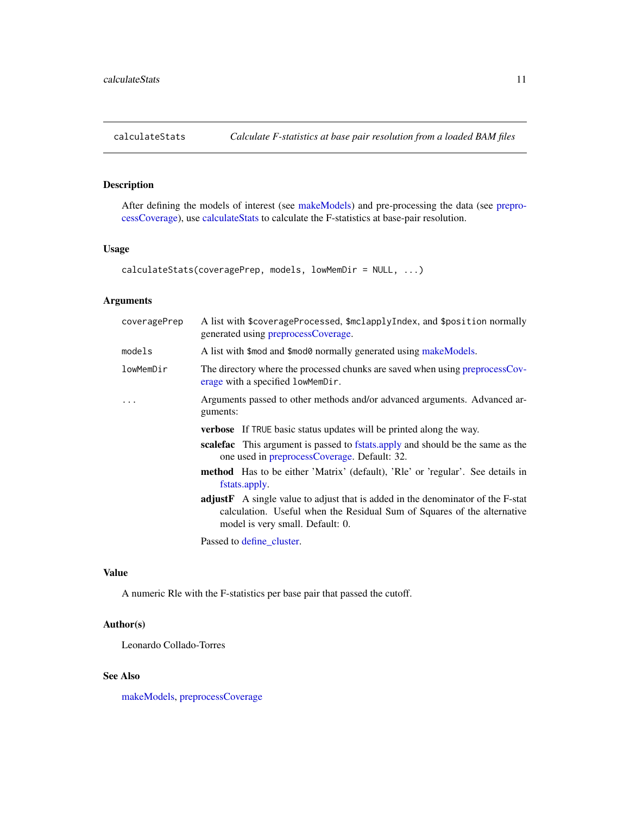<span id="page-10-1"></span><span id="page-10-0"></span>

# Description

After defining the models of interest (see [makeModels\)](#page-39-1) and pre-processing the data (see [prepro](#page-43-1)[cessCoverage\)](#page-43-1), use [calculateStats](#page-10-1) to calculate the F-statistics at base-pair resolution.

# Usage

```
calculateStats(coveragePrep, models, lowMemDir = NULL, ...)
```
# Arguments

| coveragePrep | A list with \$coverageProcessed, \$mclapplyIndex, and \$position normally<br>generated using preprocessCoverage.                                                                                      |
|--------------|-------------------------------------------------------------------------------------------------------------------------------------------------------------------------------------------------------|
| models       | A list with \$mod and \$mod0 normally generated using makeModels.                                                                                                                                     |
| lowMemDir    | The directory where the processed chunks are saved when using preprocessCov-<br>erage with a specified lowMemDir.                                                                                     |
|              | Arguments passed to other methods and/or advanced arguments. Advanced ar-<br>guments:                                                                                                                 |
|              | <b>verbose</b> If TRUE basic status updates will be printed along the way.                                                                                                                            |
|              | <b>scale fac</b> This argument is passed to fstats apply and should be the same as the<br>one used in preprocessCoverage. Default: 32.                                                                |
|              | <b>method</b> Has to be either 'Matrix' (default), 'Rle' or 'regular'. See details in<br>fstats.apply.                                                                                                |
|              | <b>adjustF</b> A single value to adjust that is added in the denominator of the F-stat<br>calculation. Useful when the Residual Sum of Squares of the alternative<br>model is very small. Default: 0. |
|              |                                                                                                                                                                                                       |

Passed to [define\\_cluster.](#page-18-1)

# Value

A numeric Rle with the F-statistics per base pair that passed the cutoff.

# Author(s)

Leonardo Collado-Torres

# See Also

[makeModels,](#page-39-1) [preprocessCoverage](#page-43-1)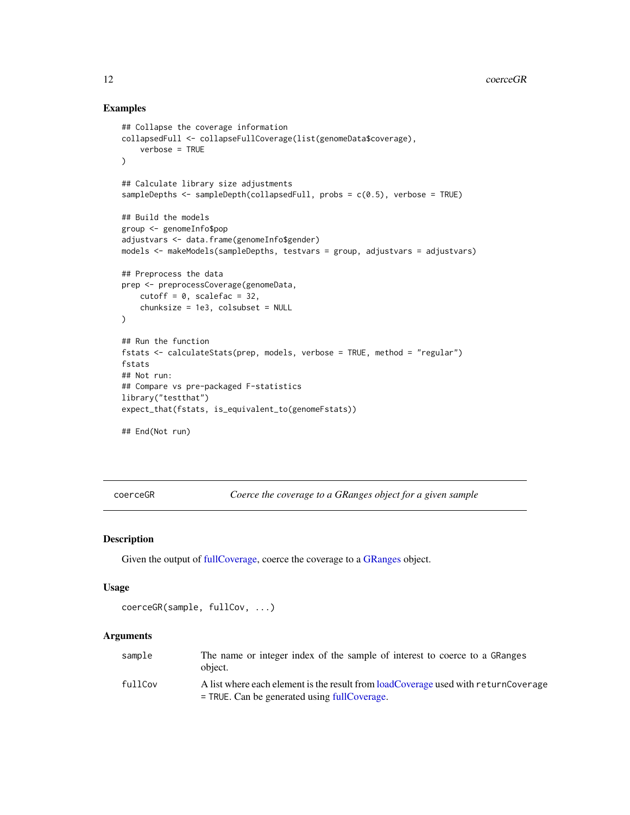# Examples

```
## Collapse the coverage information
collapsedFull <- collapseFullCoverage(list(genomeData$coverage),
    verbose = TRUE
\lambda## Calculate library size adjustments
sampleDepths <- sampleDepth(collapsedFull, probs = c(0.5), verbose = TRUE)
## Build the models
group <- genomeInfo$pop
adjustvars <- data.frame(genomeInfo$gender)
models <- makeModels(sampleDepths, testvars = group, adjustvars = adjustvars)
## Preprocess the data
prep <- preprocessCoverage(genomeData,
    cutoff = 0, scalefac = 32,
    chunksize = 1e3, colsubset = NULL
)
## Run the function
fstats <- calculateStats(prep, models, verbose = TRUE, method = "regular")
fstats
## Not run:
## Compare vs pre-packaged F-statistics
library("testthat")
expect_that(fstats, is_equivalent_to(genomeFstats))
## End(Not run)
```
<span id="page-11-1"></span>coerceGR *Coerce the coverage to a GRanges object for a given sample*

# Description

Given the output of [fullCoverage,](#page-26-1) coerce the coverage to a [GRanges](#page-0-0) object.

# Usage

```
coerceGR(sample, fullCov, ...)
```
### Arguments

| sample  | The name or integer index of the sample of interest to coerce to a GRanges<br>object.                                                  |
|---------|----------------------------------------------------------------------------------------------------------------------------------------|
| fullCov | A list where each element is the result from load Coverage used with return Coverage<br>$=$ TRUE. Can be generated using fullCoverage. |

<span id="page-11-0"></span>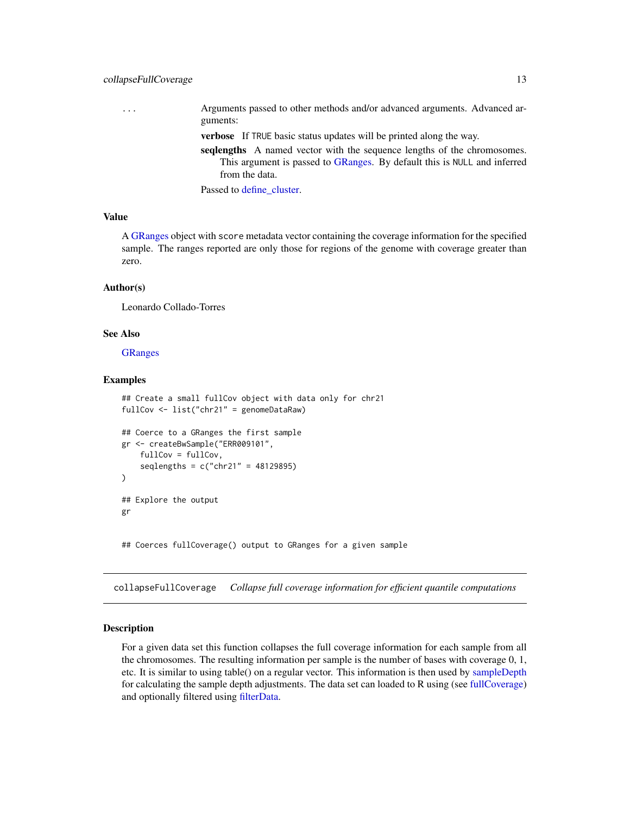# <span id="page-12-0"></span>collapseFullCoverage 13

... Arguments passed to other methods and/or advanced arguments. Advanced arguments:

verbose If TRUE basic status updates will be printed along the way.

seqlengths A named vector with the sequence lengths of the chromosomes. This argument is passed to [GRanges.](#page-0-0) By default this is NULL and inferred from the data.

Passed to [define\\_cluster.](#page-18-1)

# Value

A [GRanges](#page-0-0) object with score metadata vector containing the coverage information for the specified sample. The ranges reported are only those for regions of the genome with coverage greater than zero.

#### Author(s)

Leonardo Collado-Torres

# See Also

**[GRanges](#page-0-0)** 

#### Examples

```
## Create a small fullCov object with data only for chr21
fullCov <- list("chr21" = genomeDataRaw)
## Coerce to a GRanges the first sample
gr <- createBwSample("ERR009101",
    fullCov = fullCov,
    seqlengths = c("chr21" = 48129895)
)
## Explore the output
gr
## Coerces fullCoverage() output to GRanges for a given sample
```
<span id="page-12-1"></span>collapseFullCoverage *Collapse full coverage information for efficient quantile computations*

#### Description

For a given data set this function collapses the full coverage information for each sample from all the chromosomes. The resulting information per sample is the number of bases with coverage 0, 1, etc. It is similar to using table() on a regular vector. This information is then used by [sampleDepth](#page-52-1) for calculating the sample depth adjustments. The data set can loaded to R using (see [fullCoverage\)](#page-26-1) and optionally filtered using [filterData.](#page-22-1)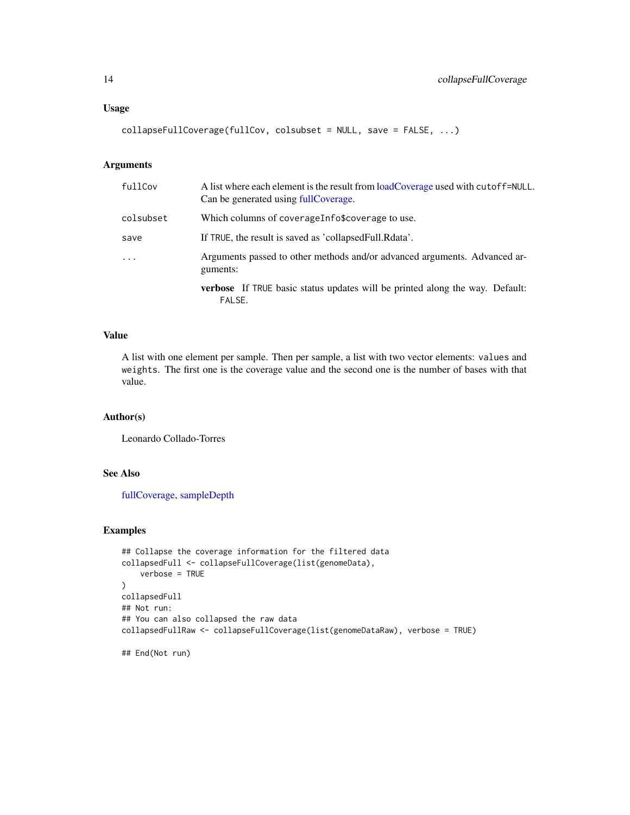# <span id="page-13-0"></span>Usage

```
collapseFullCoverage(fullCov, colsubset = NULL, save = FALSE, ...)
```
# Arguments

| fullCov   | A list where each element is the result from loadCoverage used with cutoff=NULL.<br>Can be generated using fullCoverage. |
|-----------|--------------------------------------------------------------------------------------------------------------------------|
| colsubset | Which columns of coverageInfo\$coverage to use.                                                                          |
| save      | If TRUE, the result is saved as 'collapsed Full. Rdata'.                                                                 |
| $\cdots$  | Arguments passed to other methods and/or advanced arguments. Advanced ar-<br>guments:                                    |
|           | <b>verbose</b> If TRUE basic status updates will be printed along the way. Default:<br>FALSE.                            |

# Value

A list with one element per sample. Then per sample, a list with two vector elements: values and weights. The first one is the coverage value and the second one is the number of bases with that value.

# Author(s)

Leonardo Collado-Torres

# See Also

[fullCoverage,](#page-26-1) [sampleDepth](#page-52-1)

```
## Collapse the coverage information for the filtered data
collapsedFull <- collapseFullCoverage(list(genomeData),
    verbose = TRUE
)
collapsedFull
## Not run:
## You can also collapsed the raw data
collapsedFullRaw <- collapseFullCoverage(list(genomeDataRaw), verbose = TRUE)
## End(Not run)
```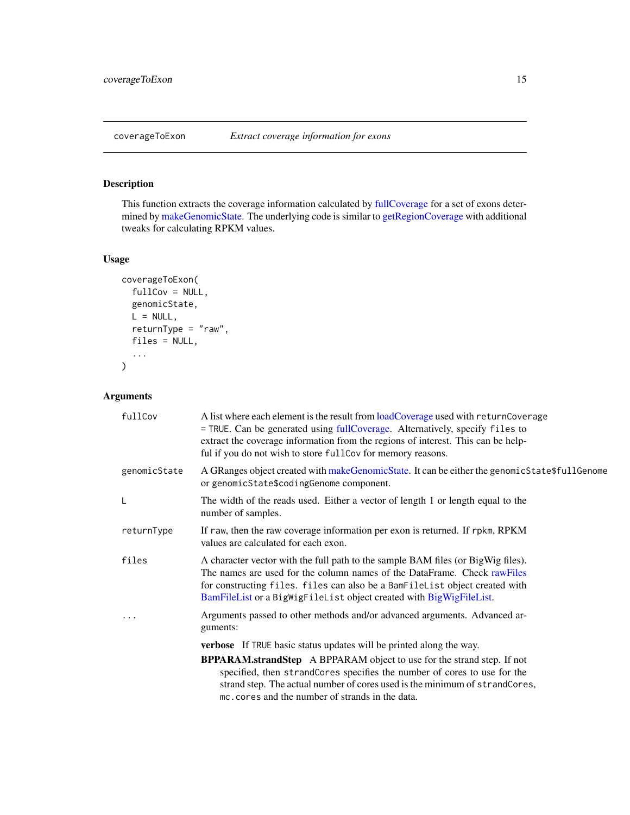# <span id="page-14-0"></span>Description

This function extracts the coverage information calculated by [fullCoverage](#page-26-1) for a set of exons determined by [makeGenomicState.](#page-38-1) The underlying code is similar to [getRegionCoverage](#page-32-1) with additional tweaks for calculating RPKM values.

# Usage

```
coverageToExon(
  fullCov = NULL,
  genomicState,
 L = NULL,returnType = "raw",
  files = NULL,
  ...
)
```
# Arguments

| fullCov      | A list where each element is the result from loadCoverage used with returnCoverage<br>= TRUE. Can be generated using fullCoverage. Alternatively, specify files to<br>extract the coverage information from the regions of interest. This can be help-<br>ful if you do not wish to store fullCov for memory reasons. |
|--------------|-----------------------------------------------------------------------------------------------------------------------------------------------------------------------------------------------------------------------------------------------------------------------------------------------------------------------|
| genomicState | A GRanges object created with makeGenomicState. It can be either the genomicState\$fullGenome<br>or genomicState\$codingGenome component.                                                                                                                                                                             |
| L            | The width of the reads used. Either a vector of length 1 or length equal to the<br>number of samples.                                                                                                                                                                                                                 |
| returnType   | If raw, then the raw coverage information per exon is returned. If rpkm, RPKM<br>values are calculated for each exon.                                                                                                                                                                                                 |
| files        | A character vector with the full path to the sample BAM files (or BigWig files).<br>The names are used for the column names of the DataFrame. Check rawFiles<br>for constructing files. files can also be a BamFileList object created with<br>BamFileList or a BigWigFileList object created with BigWigFileList.    |
|              | Arguments passed to other methods and/or advanced arguments. Advanced ar-<br>guments:                                                                                                                                                                                                                                 |
|              | verbose If TRUE basic status updates will be printed along the way.                                                                                                                                                                                                                                                   |
|              | <b>BPPARAM.strandStep</b> A BPPARAM object to use for the strand step. If not<br>specified, then strandCores specifies the number of cores to use for the<br>strand step. The actual number of cores used is the minimum of strandCores,<br>mc. cores and the number of strands in the data.                          |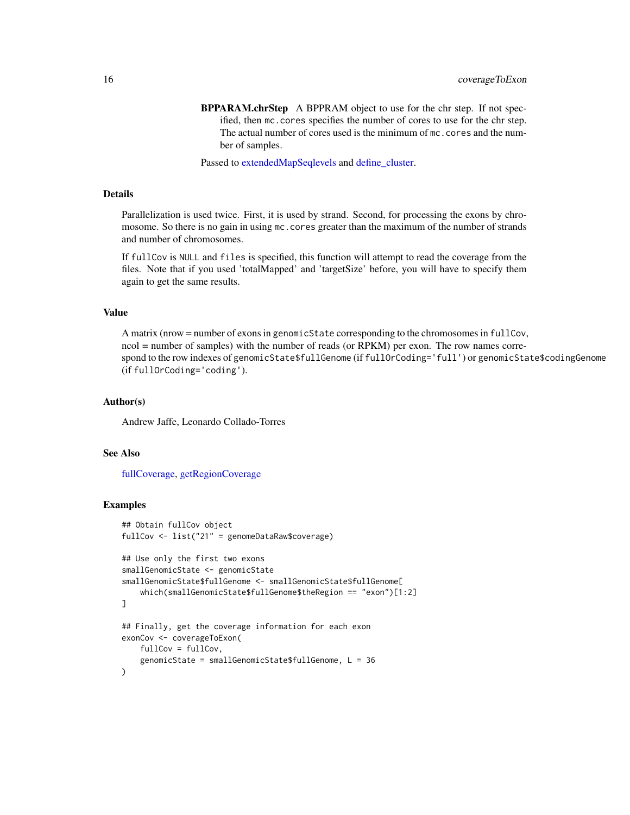<span id="page-15-0"></span>BPPARAM.chrStep A BPPRAM object to use for the chr step. If not specified, then mc.cores specifies the number of cores to use for the chr step. The actual number of cores used is the minimum of mc.cores and the number of samples.

Passed to [extendedMapSeqlevels](#page-20-1) and [define\\_cluster.](#page-18-1)

# Details

Parallelization is used twice. First, it is used by strand. Second, for processing the exons by chromosome. So there is no gain in using mc. cores greater than the maximum of the number of strands and number of chromosomes.

If fullCov is NULL and files is specified, this function will attempt to read the coverage from the files. Note that if you used 'totalMapped' and 'targetSize' before, you will have to specify them again to get the same results.

# Value

A matrix (nrow = number of exons in genomicState corresponding to the chromosomes in fullCov, ncol = number of samples) with the number of reads (or RPKM) per exon. The row names correspond to the row indexes of genomicState\$fullGenome (if fullOrCoding='full') or genomicState\$codingGenome (if fullOrCoding='coding').

# Author(s)

Andrew Jaffe, Leonardo Collado-Torres

# See Also

[fullCoverage,](#page-26-1) [getRegionCoverage](#page-32-1)

```
## Obtain fullCov object
fullCov <- list("21" = genomeDataRaw$coverage)
## Use only the first two exons
smallGenomicState <- genomicState
smallGenomicState$fullGenome <- smallGenomicState$fullGenome[
    which(smallGenomicState$fullGenome$theRegion == "exon")[1:2]
]
## Finally, get the coverage information for each exon
exonCov <- coverageToExon(
    fullCov = fullCov,
    genomicState = smallGenomicState$fullGenome, L = 36
)
```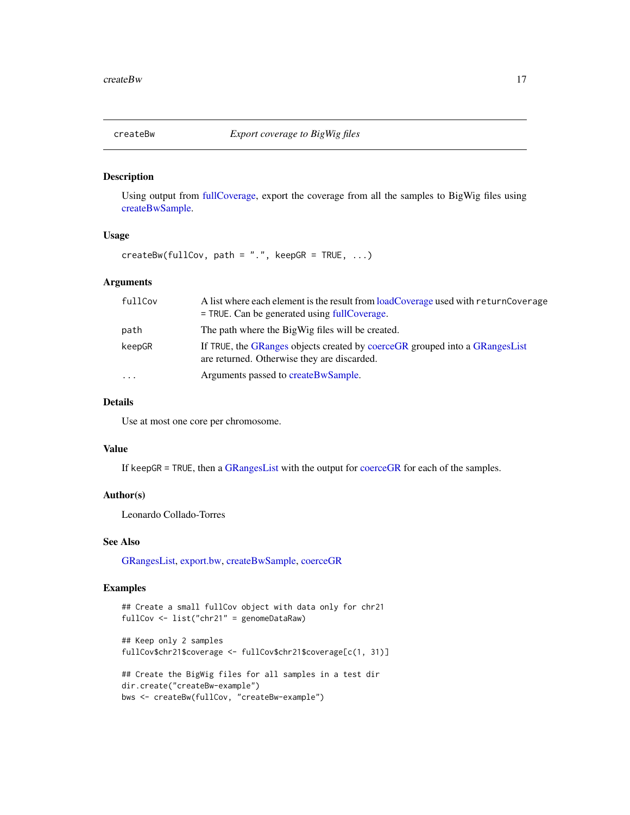<span id="page-16-0"></span>

# Description

Using output from [fullCoverage,](#page-26-1) export the coverage from all the samples to BigWig files using [createBwSample.](#page-17-1)

# Usage

 $createBw(fullCov, path = "."$ ,  $keepGR = TRUE, ...)$ 

# Arguments

| fullCov  | A list where each element is the result from loadCoverage used with returnCoverage<br>$=$ TRUE. Can be generated using fullCoverage. |
|----------|--------------------------------------------------------------------------------------------------------------------------------------|
| path     | The path where the BigWig files will be created.                                                                                     |
| keepGR   | If TRUE, the GRanges objects created by coerceGR grouped into a GRangesList<br>are returned. Otherwise they are discarded.           |
| $\cdots$ | Arguments passed to createBwSample.                                                                                                  |

# Details

Use at most one core per chromosome.

# Value

If keepGR = TRUE, then a [GRangesList](#page-0-0) with the output for [coerceGR](#page-11-1) for each of the samples.

# Author(s)

Leonardo Collado-Torres

# See Also

[GRangesList,](#page-0-0) [export.bw,](#page-0-0) [createBwSample,](#page-17-1) [coerceGR](#page-11-1)

```
## Create a small fullCov object with data only for chr21
fullCov <- list("chr21" = genomeDataRaw)
```

```
## Keep only 2 samples
fullCov$chr21$coverage <- fullCov$chr21$coverage[c(1, 31)]
```

```
## Create the BigWig files for all samples in a test dir
dir.create("createBw-example")
bws <- createBw(fullCov, "createBw-example")
```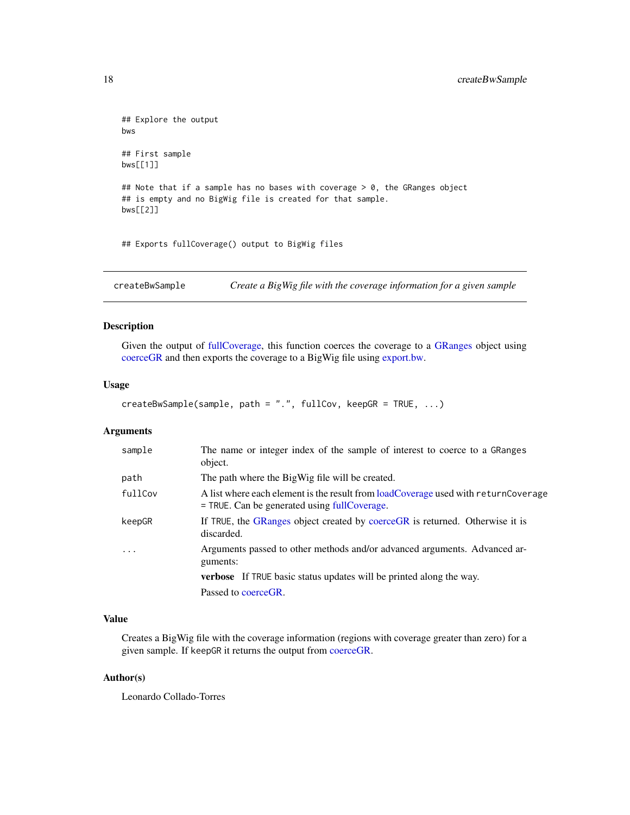```
## Explore the output
bws
## First sample
bws[[1]]
## Note that if a sample has no bases with coverage > 0, the GRanges object
## is empty and no BigWig file is created for that sample.
bws[[2]]
```
## Exports fullCoverage() output to BigWig files

<span id="page-17-1"></span>createBwSample *Create a BigWig file with the coverage information for a given sample*

# Description

Given the output of [fullCoverage,](#page-26-1) this function coerces the coverage to a [GRanges](#page-0-0) object using [coerceGR](#page-11-1) and then exports the coverage to a BigWig file using [export.bw.](#page-0-0)

# Usage

```
createBwSample(sample, path = ".", fullCov, keepGR = TRUE, ...)
```
# Arguments

| sample  | The name or integer index of the sample of interest to coerce to a GRanges<br>object.                                                |
|---------|--------------------------------------------------------------------------------------------------------------------------------------|
| path    | The path where the BigWig file will be created.                                                                                      |
| fullCov | A list where each element is the result from loadCoverage used with returnCoverage<br>$=$ TRUE. Can be generated using fullCoverage. |
| keepGR  | If TRUE, the GRanges object created by coerceGR is returned. Otherwise it is<br>discarded.                                           |
| .       | Arguments passed to other methods and/or advanced arguments. Advanced ar-<br>guments:                                                |
|         | <b>verbose</b> If TRUE basic status updates will be printed along the way.                                                           |
|         | Passed to coerceGR.                                                                                                                  |

# Value

Creates a BigWig file with the coverage information (regions with coverage greater than zero) for a given sample. If keepGR it returns the output from [coerceGR.](#page-11-1)

# Author(s)

Leonardo Collado-Torres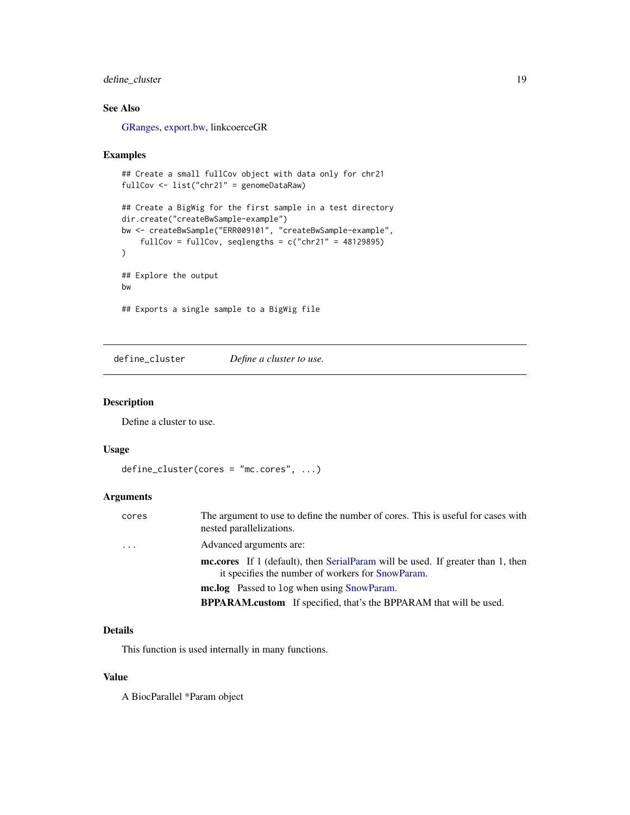# <span id="page-18-0"></span>define\_cluster 19

# See Also

[GRanges,](#page-0-0) [export.bw,](#page-0-0) linkcoerceGR

#### Examples

```
## Create a small fullCov object with data only for chr21
fullCov <- list("chr21" = genomeDataRaw)
## Create a BigWig for the first sample in a test directory
dir.create("createBwSample-example")
bw <- createBwSample("ERR009101", "createBwSample-example",
    fullCov = fullCov, seqlengths = c("chr21" = 48129895))
## Explore the output
bw
## Exports a single sample to a BigWig file
```
<span id="page-18-1"></span>define\_cluster *Define a cluster to use.*

# Description

Define a cluster to use.

# Usage

```
define_cluster(cores = "mc.cores", ...)
```
# Arguments

| cores    | The argument to use to define the number of cores. This is useful for cases with<br>nested parallelizations.                                |
|----------|---------------------------------------------------------------------------------------------------------------------------------------------|
| $\cdots$ | Advanced arguments are:                                                                                                                     |
|          | <b>mc.cores</b> If 1 (default), then SerialParam will be used. If greater than 1, then<br>it specifies the number of workers for SnowParam. |
|          | <b>mc.log</b> Passed to log when using SnowParam.                                                                                           |
|          | <b>BPPARAM.custom</b> If specified, that's the BPPARAM that will be used.                                                                   |

# Details

This function is used internally in many functions.

# Value

A BiocParallel \*Param object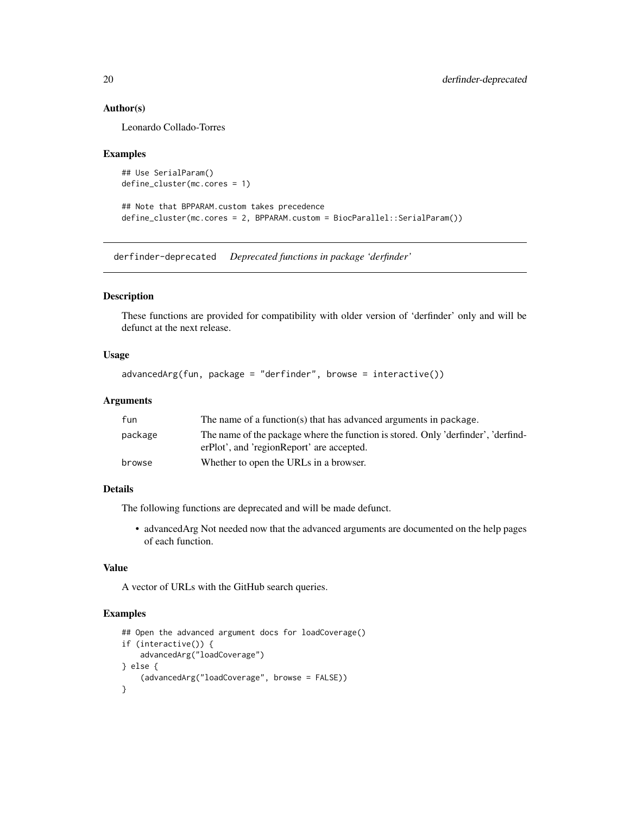# Author(s)

Leonardo Collado-Torres

#### Examples

```
## Use SerialParam()
define_cluster(mc.cores = 1)
```
## Note that BPPARAM.custom takes precedence define\_cluster(mc.cores = 2, BPPARAM.custom = BiocParallel::SerialParam())

derfinder-deprecated *Deprecated functions in package 'derfinder'*

#### Description

These functions are provided for compatibility with older version of 'derfinder' only and will be defunct at the next release.

# Usage

advancedArg(fun, package = "derfinder", browse = interactive())

# Arguments

| The name of a function(s) that has advanced arguments in package.                                                              |
|--------------------------------------------------------------------------------------------------------------------------------|
| The name of the package where the function is stored. Only 'derfinder', 'derfind-<br>erPlot', and 'regionReport' are accepted. |
| Whether to open the URLs in a browser.                                                                                         |
|                                                                                                                                |

# Details

The following functions are deprecated and will be made defunct.

• advancedArg Not needed now that the advanced arguments are documented on the help pages of each function.

# Value

A vector of URLs with the GitHub search queries.

```
## Open the advanced argument docs for loadCoverage()
if (interactive()) {
    advancedArg("loadCoverage")
} else {
    (advancedArg("loadCoverage", browse = FALSE))
}
```
<span id="page-19-0"></span>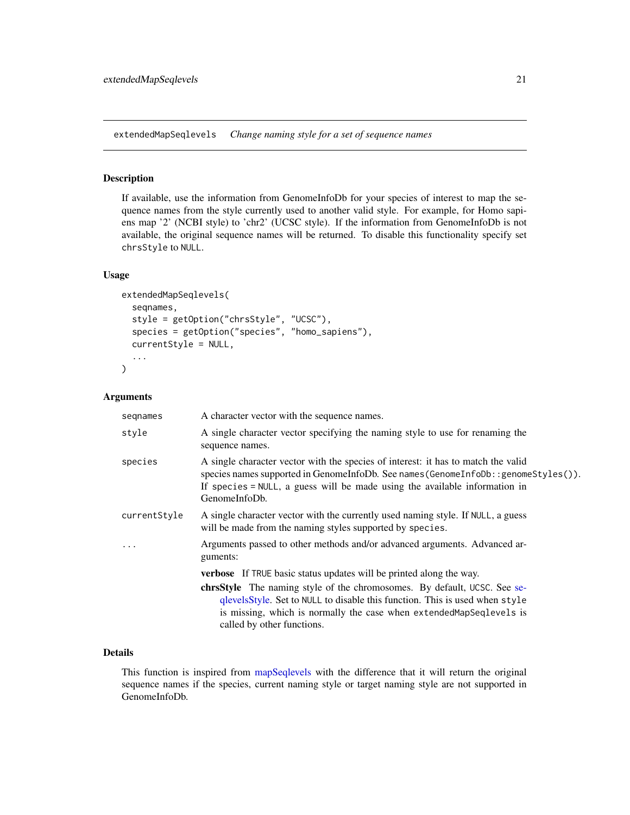<span id="page-20-1"></span><span id="page-20-0"></span>extendedMapSeqlevels *Change naming style for a set of sequence names*

# Description

If available, use the information from GenomeInfoDb for your species of interest to map the sequence names from the style currently used to another valid style. For example, for Homo sapiens map '2' (NCBI style) to 'chr2' (UCSC style). If the information from GenomeInfoDb is not available, the original sequence names will be returned. To disable this functionality specify set chrsStyle to NULL.

# Usage

```
extendedMapSeqlevels(
  seqnames,
  style = getOption("chrsStyle", "UCSC"),
  species = getOption("species", "homo_sapiens"),
  currentStyle = NULL,
  ...
\mathcal{E}
```
# Arguments

| seqnames     | A character vector with the sequence names.                                                                                                                                                                                                                            |
|--------------|------------------------------------------------------------------------------------------------------------------------------------------------------------------------------------------------------------------------------------------------------------------------|
| style        | A single character vector specifying the naming style to use for renaming the<br>sequence names.                                                                                                                                                                       |
| species      | A single character vector with the species of interest: it has to match the valid<br>species names supported in GenomeInfoDb. See names (GenomeInfoDb::genomeStyles()).<br>If species = NULL, a guess will be made using the available information in<br>GenomeInfoDb. |
| currentStyle | A single character vector with the currently used naming style. If NULL, a guess<br>will be made from the naming styles supported by species.                                                                                                                          |
|              | Arguments passed to other methods and/or advanced arguments. Advanced ar-<br>guments:                                                                                                                                                                                  |
|              | <b>verbose</b> If TRUE basic status updates will be printed along the way.                                                                                                                                                                                             |
|              | <b>christyle</b> The naming style of the chromosomes. By default, UCSC. See se-<br>qlevelsStyle. Set to NULL to disable this function. This is used when style<br>is missing, which is normally the case when extendedMapSeqlevels is<br>called by other functions.    |

# Details

This function is inspired from [mapSeqlevels](#page-0-0) with the difference that it will return the original sequence names if the species, current naming style or target naming style are not supported in GenomeInfoDb.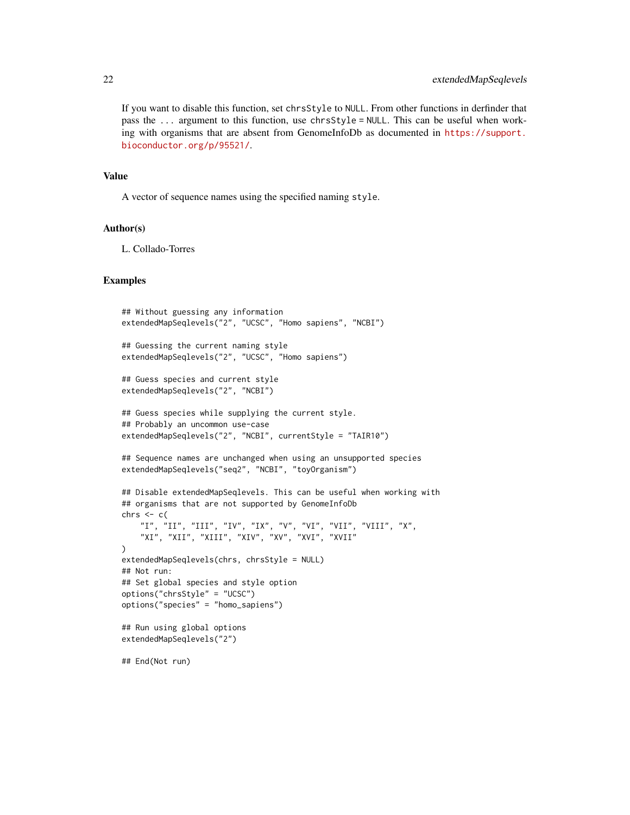If you want to disable this function, set chrsStyle to NULL. From other functions in derfinder that pass the ... argument to this function, use chrsStyle = NULL. This can be useful when working with organisms that are absent from GenomeInfoDb as documented in [https://support.](https://support.bioconductor.org/p/95521/) [bioconductor.org/p/95521/](https://support.bioconductor.org/p/95521/).

#### Value

A vector of sequence names using the specified naming style.

#### Author(s)

L. Collado-Torres

```
## Without guessing any information
extendedMapSeqlevels("2", "UCSC", "Homo sapiens", "NCBI")
## Guessing the current naming style
extendedMapSeqlevels("2", "UCSC", "Homo sapiens")
## Guess species and current style
extendedMapSeqlevels("2", "NCBI")
## Guess species while supplying the current style.
## Probably an uncommon use-case
extendedMapSeqlevels("2", "NCBI", currentStyle = "TAIR10")
## Sequence names are unchanged when using an unsupported species
extendedMapSeqlevels("seq2", "NCBI", "toyOrganism")
## Disable extendedMapSeqlevels. This can be useful when working with
## organisms that are not supported by GenomeInfoDb
chrs \leq c(
    "I", "II", "III", "IV", "IX", "V", "VI", "VII", "VIII", "X",
    "XI", "XII", "XIII", "XIV", "XV", "XVI", "XVII"
)
extendedMapSeqlevels(chrs, chrsStyle = NULL)
## Not run:
## Set global species and style option
options("chrsStyle" = "UCSC")
options("species" = "homo_sapiens")
## Run using global options
extendedMapSeqlevels("2")
## End(Not run)
```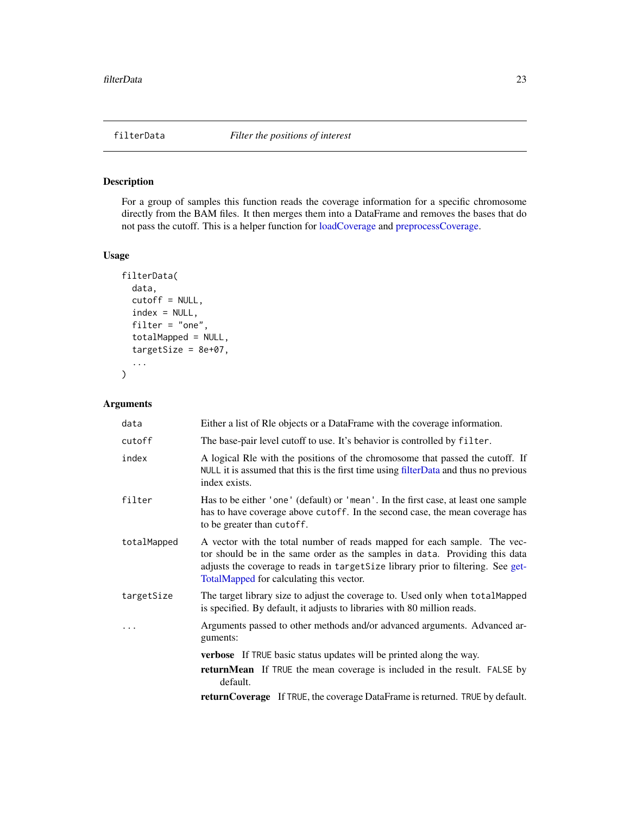# <span id="page-22-1"></span><span id="page-22-0"></span>Description

For a group of samples this function reads the coverage information for a specific chromosome directly from the BAM files. It then merges them into a DataFrame and removes the bases that do not pass the cutoff. This is a helper function for [loadCoverage](#page-35-1) and [preprocessCoverage.](#page-43-1)

# Usage

```
filterData(
  data,
  cutoff = NULL,
  index = NULL,filter = "one",
  totalMapped = NULL,
  targetSize = 8e+07,
  ...
\mathcal{L}
```
# Arguments

| data        | Either a list of Rle objects or a DataFrame with the coverage information.                                                                                                                                                                                                              |
|-------------|-----------------------------------------------------------------------------------------------------------------------------------------------------------------------------------------------------------------------------------------------------------------------------------------|
| cutoff      | The base-pair level cutoff to use. It's behavior is controlled by filter.                                                                                                                                                                                                               |
| index       | A logical Rle with the positions of the chromosome that passed the cutoff. If<br>NULL it is assumed that this is the first time using filterData and thus no previous<br>index exists.                                                                                                  |
| filter      | Has to be either 'one' (default) or 'mean'. In the first case, at least one sample<br>has to have coverage above cutoff. In the second case, the mean coverage has<br>to be greater than cutoff.                                                                                        |
| totalMapped | A vector with the total number of reads mapped for each sample. The vec-<br>tor should be in the same order as the samples in data. Providing this data<br>adjusts the coverage to reads in targetSize library prior to filtering. See get-<br>TotalMapped for calculating this vector. |
| targetSize  | The target library size to adjust the coverage to. Used only when total Mapped<br>is specified. By default, it adjusts to libraries with 80 million reads.                                                                                                                              |
| $\ddots$ .  | Arguments passed to other methods and/or advanced arguments. Advanced ar-<br>guments:                                                                                                                                                                                                   |
|             | <b>verbose</b> If TRUE basic status updates will be printed along the way.                                                                                                                                                                                                              |
|             | <b>returnMean</b> If TRUE the mean coverage is included in the result. FALSE by<br>default.                                                                                                                                                                                             |
|             | returnCoverage If TRUE, the coverage DataFrame is returned. TRUE by default.                                                                                                                                                                                                            |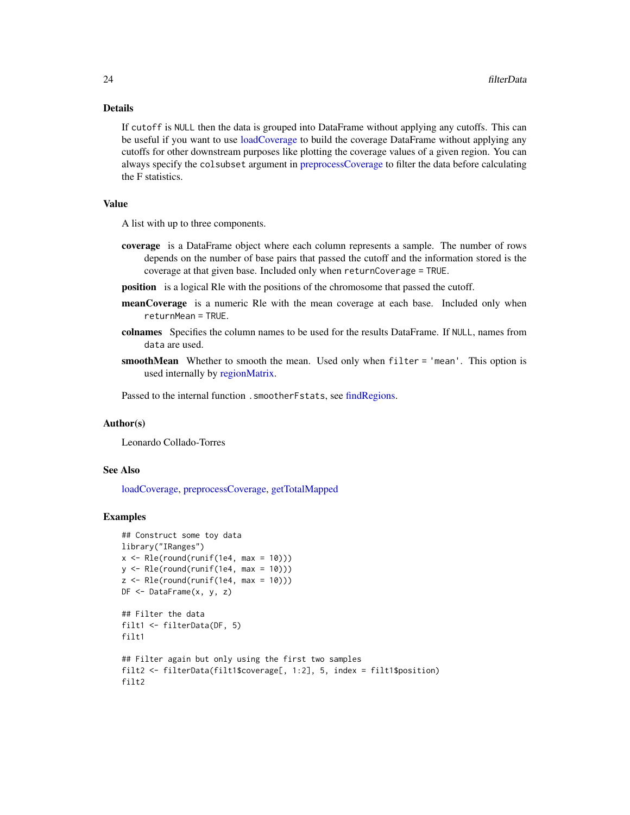# Details

If cutoff is NULL then the data is grouped into DataFrame without applying any cutoffs. This can be useful if you want to use [loadCoverage](#page-35-1) to build the coverage DataFrame without applying any cutoffs for other downstream purposes like plotting the coverage values of a given region. You can always specify the colsubset argument in [preprocessCoverage](#page-43-1) to filter the data before calculating the F statistics.

# Value

A list with up to three components.

- coverage is a DataFrame object where each column represents a sample. The number of rows depends on the number of base pairs that passed the cutoff and the information stored is the coverage at that given base. Included only when returnCoverage = TRUE.
- position is a logical Rle with the positions of the chromosome that passed the cutoff.
- meanCoverage is a numeric Rle with the mean coverage at each base. Included only when returnMean = TRUE.
- colnames Specifies the column names to be used for the results DataFrame. If NULL, names from data are used.
- smoothMean Whether to smooth the mean. Used only when filter = 'mean'. This option is used internally by [regionMatrix.](#page-49-1)

Passed to the internal function . smootherFstats, see [findRegions.](#page-24-1)

# Author(s)

Leonardo Collado-Torres

### See Also

[loadCoverage,](#page-35-1) [preprocessCoverage,](#page-43-1) [getTotalMapped](#page-34-1)

```
## Construct some toy data
library("IRanges")
x \leq Rle(round(runif(1e4, max = 10)))
y \leftarrow \text{Rle}(\text{round}(\text{runif}(\text{1e4, max = 10})))z \leftarrow \text{Rle}(\text{round}(\text{runif}(\text{1e4, max} = 10)))DF <- DataFrame(x, y, z)
## Filter the data
filt1 <- filterData(DF, 5)
filt1
## Filter again but only using the first two samples
filt2 <- filterData(filt1$coverage[, 1:2], 5, index = filt1$position)
filt2
```
<span id="page-23-0"></span>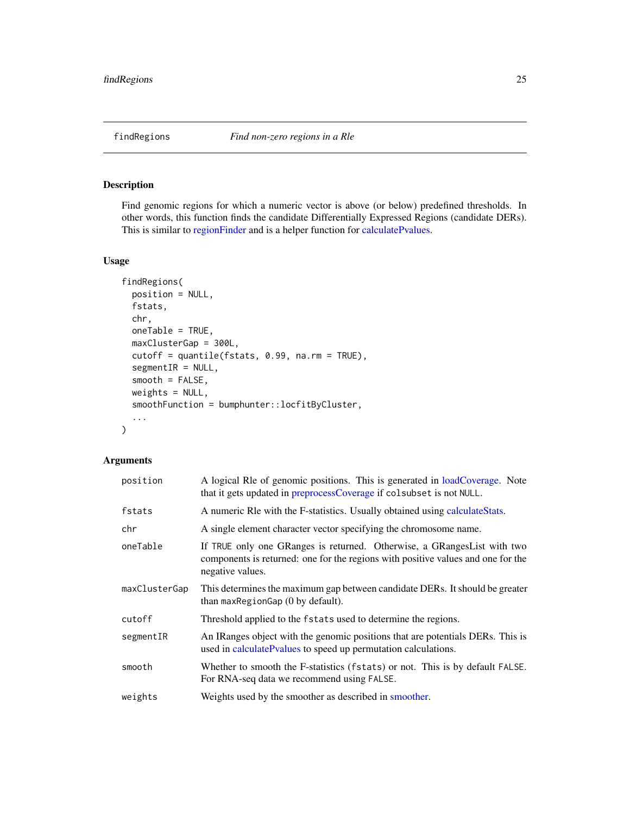<span id="page-24-1"></span><span id="page-24-0"></span>

# Description

Find genomic regions for which a numeric vector is above (or below) predefined thresholds. In other words, this function finds the candidate Differentially Expressed Regions (candidate DERs). This is similar to [regionFinder](#page-0-0) and is a helper function for [calculatePvalues.](#page-6-1)

# Usage

```
findRegions(
 position = NULL,
  fstats,
 chr,
  oneTable = TRUE,
 maxClusterGap = 300L,
 cutoff = quantile(fstats, 0.99, na.rm = TRUE),
  segmentIR = NULL,
  smooth = FALSE,weights = NULL,
  smoothFunction = bumphunter::locfitByCluster,
  ...
)
```
# Arguments

| position      | A logical Rle of genomic positions. This is generated in loadCoverage. Note<br>that it gets updated in preprocessCoverage if colsubset is not NULL.                              |
|---------------|----------------------------------------------------------------------------------------------------------------------------------------------------------------------------------|
| fstats        | A numeric RIe with the F-statistics. Usually obtained using calculate Stats.                                                                                                     |
| chr           | A single element character vector specifying the chromosome name.                                                                                                                |
| oneTable      | If TRUE only one GRanges is returned. Otherwise, a GRanges List with two<br>components is returned: one for the regions with positive values and one for the<br>negative values. |
| maxClusterGap | This determines the maximum gap between candidate DERs. It should be greater<br>than max Region Gap $(0$ by default).                                                            |
| cutoff        | Threshold applied to the fstats used to determine the regions.                                                                                                                   |
| segmentIR     | An IRanges object with the genomic positions that are potentials DERs. This is<br>used in calculate Pvalues to speed up permutation calculations.                                |
| smooth        | Whether to smooth the F-statistics (fstats) or not. This is by default FALSE.<br>For RNA-seq data we recommend using FALSE.                                                      |
| weights       | Weights used by the smoother as described in smoother.                                                                                                                           |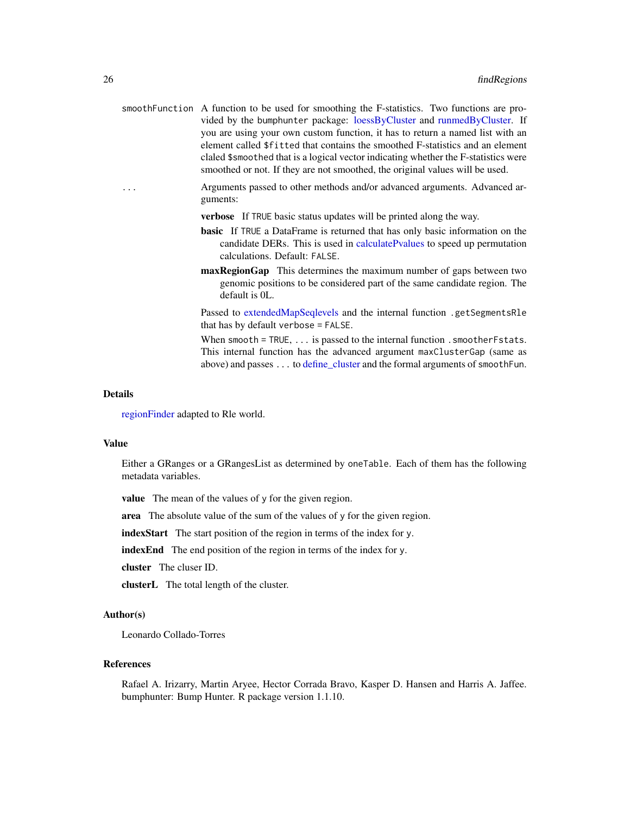<span id="page-25-0"></span>

|          | smooth Function A function to be used for smoothing the F-statistics. Two functions are pro-<br>vided by the bumphunter package: loessByCluster and runmedByCluster. If |
|----------|-------------------------------------------------------------------------------------------------------------------------------------------------------------------------|
|          | you are using your own custom function, it has to return a named list with an                                                                                           |
|          | element called \$fitted that contains the smoothed F-statistics and an element                                                                                          |
|          | claled \$smoothed that is a logical vector indicating whether the F-statistics were<br>smoothed or not. If they are not smoothed, the original values will be used.     |
| $\cdots$ | Arguments passed to other methods and/or advanced arguments. Advanced ar-<br>guments:                                                                                   |

verbose If TRUE basic status updates will be printed along the way.

- basic If TRUE a DataFrame is returned that has only basic information on the candidate DERs. This is used in [calculatePvalues](#page-6-1) to speed up permutation calculations. Default: FALSE.
- maxRegionGap This determines the maximum number of gaps between two genomic positions to be considered part of the same candidate region. The default is 0L.

Passed to [extendedMapSeqlevels](#page-20-1) and the internal function .getSegmentsRle that has by default verbose = FALSE.

When smooth = TRUE,  $\ldots$  is passed to the internal function . smoother Fstats. This internal function has the advanced argument maxClusterGap (same as above) and passes . . . to define cluster and the formal arguments of smoothFun.

#### Details

[regionFinder](#page-0-0) adapted to Rle world.

# Value

Either a GRanges or a GRangesList as determined by oneTable. Each of them has the following metadata variables.

value The mean of the values of y for the given region.

area The absolute value of the sum of the values of y for the given region.

indexStart The start position of the region in terms of the index for y.

indexEnd The end position of the region in terms of the index for y.

cluster The cluser ID.

clusterL The total length of the cluster.

# Author(s)

Leonardo Collado-Torres

#### References

Rafael A. Irizarry, Martin Aryee, Hector Corrada Bravo, Kasper D. Hansen and Harris A. Jaffee. bumphunter: Bump Hunter. R package version 1.1.10.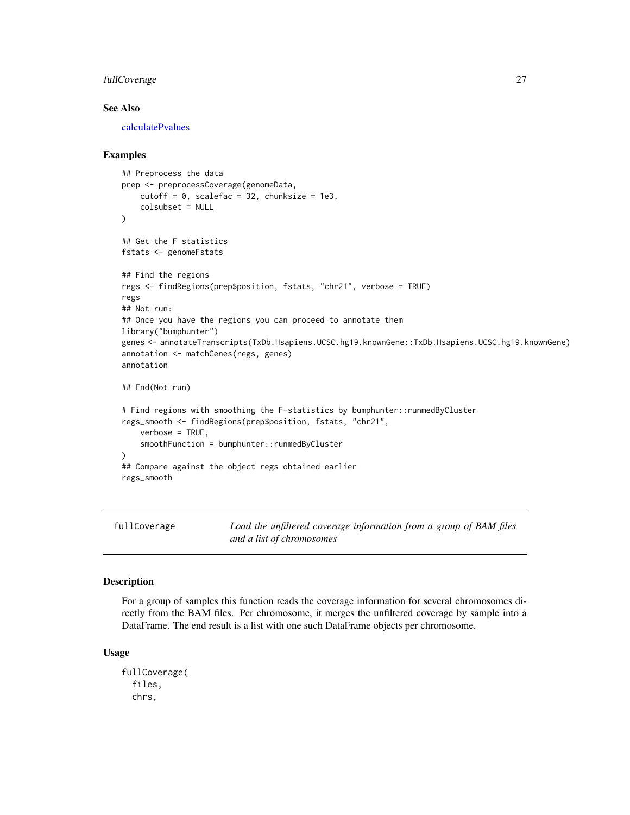# <span id="page-26-0"></span>fullCoverage 27

# See Also

[calculatePvalues](#page-6-1)

# Examples

```
## Preprocess the data
prep <- preprocessCoverage(genomeData,
   cutoff = 0, scalefac = 32, chunksize = 1e3,
   colsubset = NULL
)
## Get the F statistics
fstats <- genomeFstats
## Find the regions
regs <- findRegions(prep$position, fstats, "chr21", verbose = TRUE)
regs
## Not run:
## Once you have the regions you can proceed to annotate them
library("bumphunter")
genes <- annotateTranscripts(TxDb.Hsapiens.UCSC.hg19.knownGene::TxDb.Hsapiens.UCSC.hg19.knownGene)
annotation <- matchGenes(regs, genes)
annotation
## End(Not run)
# Find regions with smoothing the F-statistics by bumphunter::runmedByCluster
regs_smooth <- findRegions(prep$position, fstats, "chr21",
   verbose = TRUE,
   smoothFunction = bumphunter::runmedByCluster
)
## Compare against the object regs obtained earlier
regs_smooth
```
<span id="page-26-1"></span>fullCoverage *Load the unfiltered coverage information from a group of BAM files and a list of chromosomes*

#### Description

For a group of samples this function reads the coverage information for several chromosomes directly from the BAM files. Per chromosome, it merges the unfiltered coverage by sample into a DataFrame. The end result is a list with one such DataFrame objects per chromosome.

#### Usage

```
fullCoverage(
  files,
  chrs,
```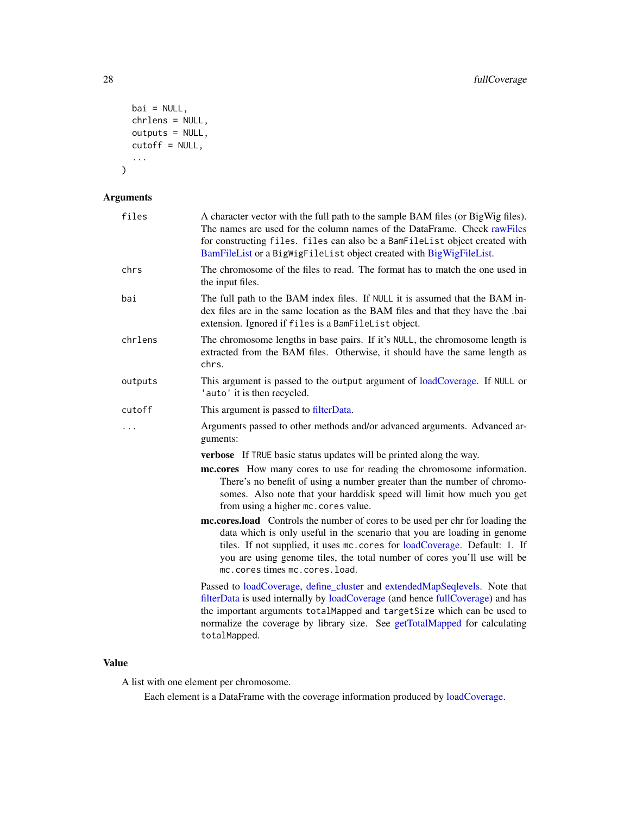```
bai = NULL,chrlens = NULL,
  outputs = NULL,
  cutoff = NULL,
  ...
\mathcal{L}
```
# Arguments

| files   | A character vector with the full path to the sample BAM files (or BigWig files).<br>The names are used for the column names of the DataFrame. Check rawFiles<br>for constructing files. files can also be a BamFileList object created with<br>BamFileList or a BigWigFileList object created with BigWigFileList.                                 |
|---------|----------------------------------------------------------------------------------------------------------------------------------------------------------------------------------------------------------------------------------------------------------------------------------------------------------------------------------------------------|
| chrs    | The chromosome of the files to read. The format has to match the one used in<br>the input files.                                                                                                                                                                                                                                                   |
| bai     | The full path to the BAM index files. If NULL it is assumed that the BAM in-<br>dex files are in the same location as the BAM files and that they have the .bai<br>extension. Ignored if files is a BamFileList object.                                                                                                                            |
| chrlens | The chromosome lengths in base pairs. If it's NULL, the chromosome length is<br>extracted from the BAM files. Otherwise, it should have the same length as<br>chrs.                                                                                                                                                                                |
| outputs | This argument is passed to the output argument of loadCoverage. If NULL or<br>'auto' it is then recycled.                                                                                                                                                                                                                                          |
| cutoff  | This argument is passed to filterData.                                                                                                                                                                                                                                                                                                             |
| .       | Arguments passed to other methods and/or advanced arguments. Advanced ar-<br>guments:                                                                                                                                                                                                                                                              |
|         | verbose If TRUE basic status updates will be printed along the way.                                                                                                                                                                                                                                                                                |
|         | mc.cores How many cores to use for reading the chromosome information.<br>There's no benefit of using a number greater than the number of chromo-<br>somes. Also note that your harddisk speed will limit how much you get<br>from using a higher mc. cores value.                                                                                 |
|         | mc.cores.load Controls the number of cores to be used per chr for loading the<br>data which is only useful in the scenario that you are loading in genome<br>tiles. If not supplied, it uses mc. cores for loadCoverage. Default: 1. If<br>you are using genome tiles, the total number of cores you'll use will be<br>mc.corestimesmc.cores.load. |
|         | Passed to loadCoverage, define_cluster and extendedMapSeqlevels. Note that<br>filterData is used internally by loadCoverage (and hence fullCoverage) and has<br>the important arguments totalMapped and targetSize which can be used to<br>normalize the coverage by library size. See getTotalMapped for calculating<br>totalMapped.              |

# Value

A list with one element per chromosome.

Each element is a DataFrame with the coverage information produced by [loadCoverage.](#page-35-1)

<span id="page-27-0"></span>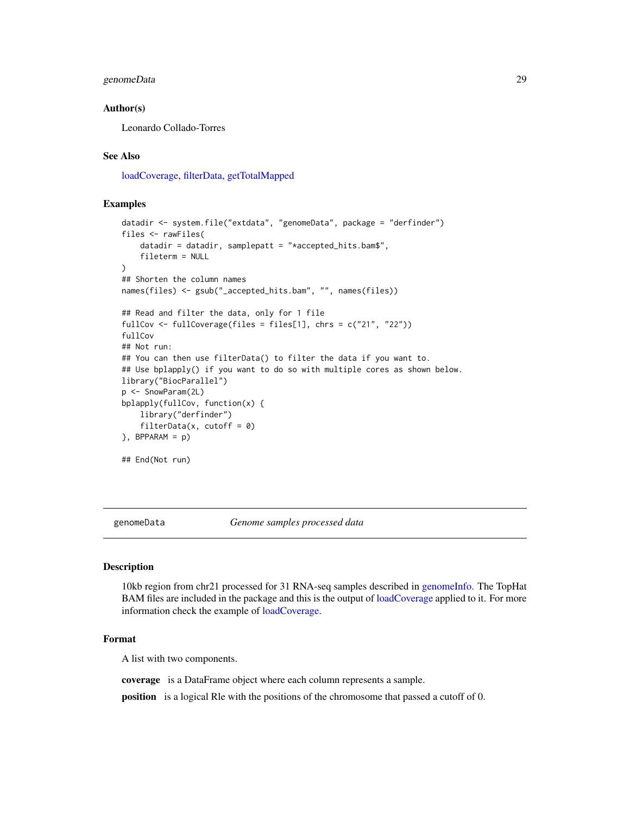# <span id="page-28-0"></span>genomeData 29

# Author(s)

Leonardo Collado-Torres

# See Also

[loadCoverage,](#page-35-1) [filterData,](#page-22-1) [getTotalMapped](#page-34-1)

# Examples

```
datadir <- system.file("extdata", "genomeData", package = "derfinder")
files <- rawFiles(
    datadir = datadir, samplepatt = "*accepted_hits.bam$",
    fileterm = NULL
)
## Shorten the column names
names(files) <- gsub("_accepted_hits.bam", "", names(files))
## Read and filter the data, only for 1 file
fullCov <- fullCoverage(files = files[1], chrs = c("21", "22"))
fullCov
## Not run:
## You can then use filterData() to filter the data if you want to.
## Use bplapply() if you want to do so with multiple cores as shown below.
library("BiocParallel")
p <- SnowParam(2L)
bplapply(fullCov, function(x) {
    library("derfinder")
    filterData(x, cutoff = 0)
}, BPPARAM = p)
## End(Not run)
```
<span id="page-28-1"></span>

genomeData *Genome samples processed data*

#### Description

10kb region from chr21 processed for 31 RNA-seq samples described in [genomeInfo.](#page-30-1) The TopHat BAM files are included in the package and this is the output of [loadCoverage](#page-35-1) applied to it. For more information check the example of [loadCoverage.](#page-35-1)

# Format

A list with two components.

coverage is a DataFrame object where each column represents a sample.

position is a logical Rle with the positions of the chromosome that passed a cutoff of 0.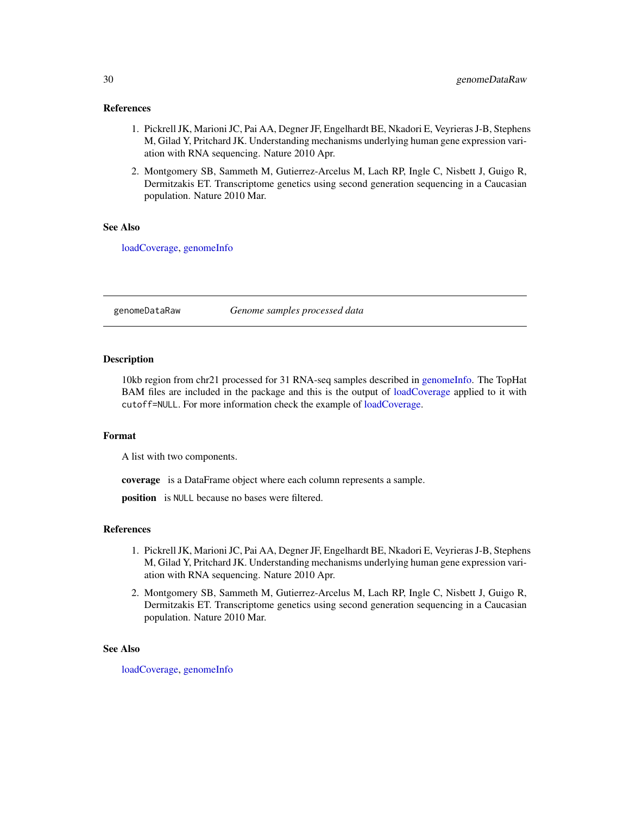# <span id="page-29-0"></span>References

- 1. Pickrell JK, Marioni JC, Pai AA, Degner JF, Engelhardt BE, Nkadori E, Veyrieras J-B, Stephens M, Gilad Y, Pritchard JK. Understanding mechanisms underlying human gene expression variation with RNA sequencing. Nature 2010 Apr.
- 2. Montgomery SB, Sammeth M, Gutierrez-Arcelus M, Lach RP, Ingle C, Nisbett J, Guigo R, Dermitzakis ET. Transcriptome genetics using second generation sequencing in a Caucasian population. Nature 2010 Mar.

# See Also

[loadCoverage,](#page-35-1) [genomeInfo](#page-30-1)

genomeDataRaw *Genome samples processed data*

# Description

10kb region from chr21 processed for 31 RNA-seq samples described in [genomeInfo.](#page-30-1) The TopHat BAM files are included in the package and this is the output of [loadCoverage](#page-35-1) applied to it with cutoff=NULL. For more information check the example of [loadCoverage.](#page-35-1)

# Format

A list with two components.

coverage is a DataFrame object where each column represents a sample.

position is NULL because no bases were filtered.

#### References

- 1. Pickrell JK, Marioni JC, Pai AA, Degner JF, Engelhardt BE, Nkadori E, Veyrieras J-B, Stephens M, Gilad Y, Pritchard JK. Understanding mechanisms underlying human gene expression variation with RNA sequencing. Nature 2010 Apr.
- 2. Montgomery SB, Sammeth M, Gutierrez-Arcelus M, Lach RP, Ingle C, Nisbett J, Guigo R, Dermitzakis ET. Transcriptome genetics using second generation sequencing in a Caucasian population. Nature 2010 Mar.

#### See Also

[loadCoverage,](#page-35-1) [genomeInfo](#page-30-1)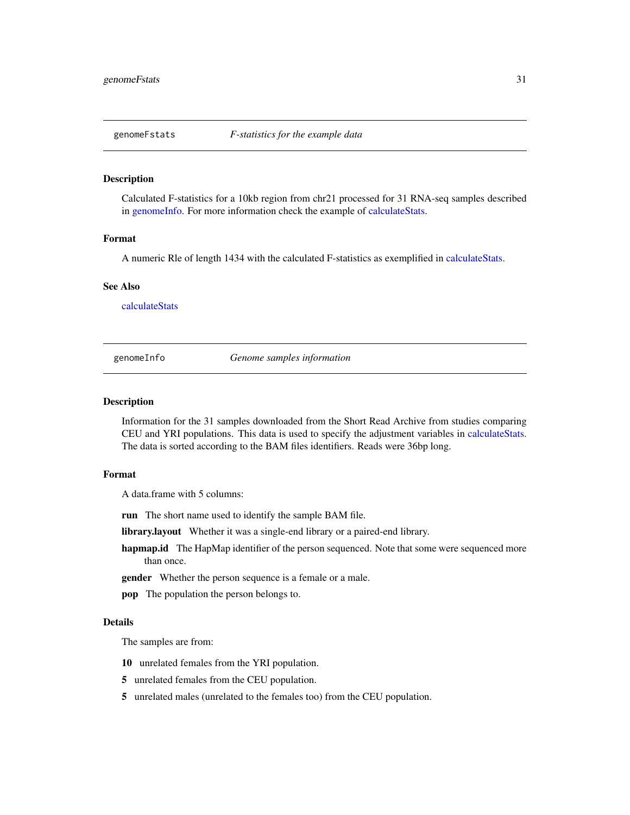<span id="page-30-0"></span>

# Description

Calculated F-statistics for a 10kb region from chr21 processed for 31 RNA-seq samples described in [genomeInfo.](#page-30-1) For more information check the example of [calculateStats.](#page-10-1)

#### Format

A numeric Rle of length 1434 with the calculated F-statistics as exemplified in [calculateStats.](#page-10-1)

#### See Also

[calculateStats](#page-10-1)

<span id="page-30-1"></span>genomeInfo *Genome samples information*

# Description

Information for the 31 samples downloaded from the Short Read Archive from studies comparing CEU and YRI populations. This data is used to specify the adjustment variables in [calculateStats.](#page-10-1) The data is sorted according to the BAM files identifiers. Reads were 36bp long.

# Format

A data.frame with 5 columns:

run The short name used to identify the sample BAM file.

library.layout Whether it was a single-end library or a paired-end library.

hapmap.id The HapMap identifier of the person sequenced. Note that some were sequenced more than once.

gender Whether the person sequence is a female or a male.

pop The population the person belongs to.

#### Details

The samples are from:

- 10 unrelated females from the YRI population.
- 5 unrelated females from the CEU population.
- 5 unrelated males (unrelated to the females too) from the CEU population.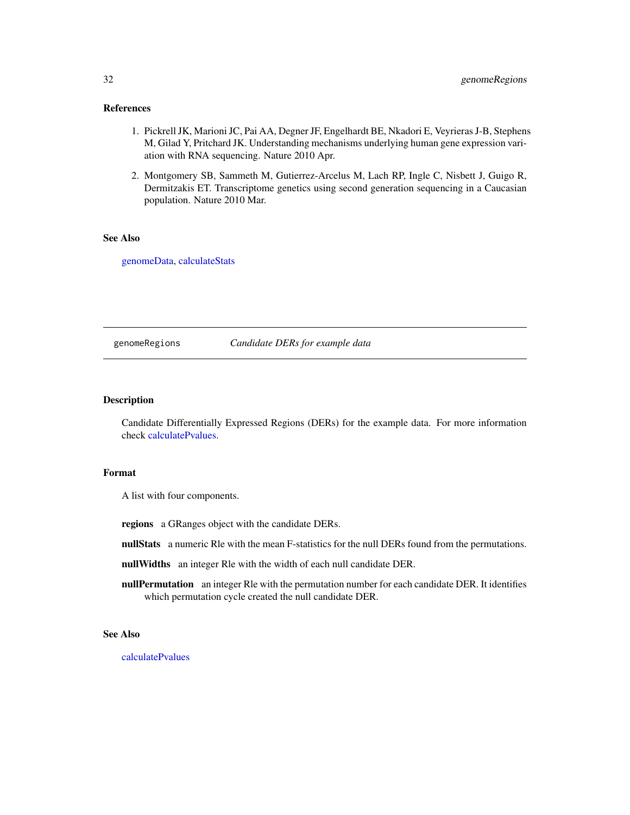# <span id="page-31-0"></span>References

- 1. Pickrell JK, Marioni JC, Pai AA, Degner JF, Engelhardt BE, Nkadori E, Veyrieras J-B, Stephens M, Gilad Y, Pritchard JK. Understanding mechanisms underlying human gene expression variation with RNA sequencing. Nature 2010 Apr.
- 2. Montgomery SB, Sammeth M, Gutierrez-Arcelus M, Lach RP, Ingle C, Nisbett J, Guigo R, Dermitzakis ET. Transcriptome genetics using second generation sequencing in a Caucasian population. Nature 2010 Mar.

# See Also

[genomeData,](#page-28-1) [calculateStats](#page-10-1)

#### genomeRegions *Candidate DERs for example data*

# Description

Candidate Differentially Expressed Regions (DERs) for the example data. For more information check [calculatePvalues.](#page-6-1)

# Format

A list with four components.

regions a GRanges object with the candidate DERs.

nullStats a numeric Rle with the mean F-statistics for the null DERs found from the permutations.

nullWidths an integer Rle with the width of each null candidate DER.

nullPermutation an integer Rle with the permutation number for each candidate DER. It identifies which permutation cycle created the null candidate DER.

# See Also

[calculatePvalues](#page-6-1)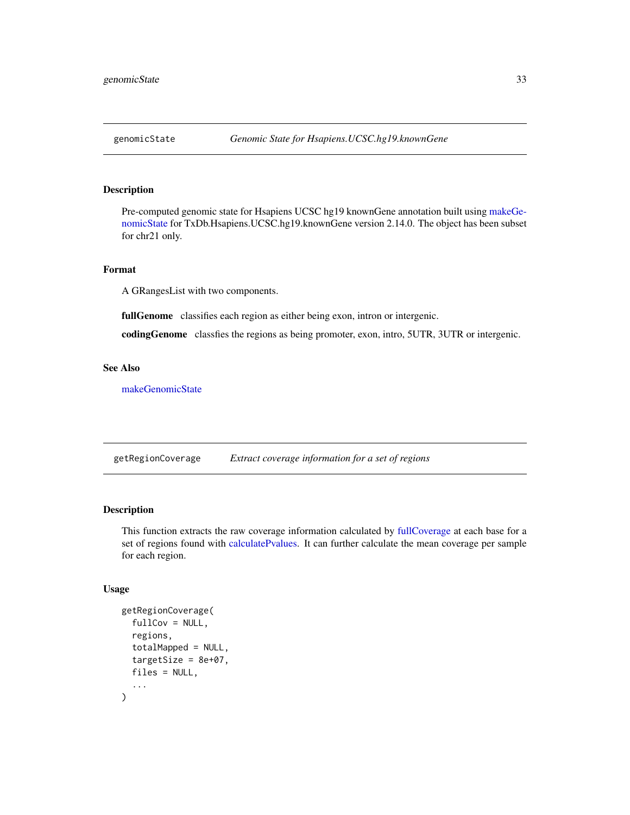<span id="page-32-0"></span>

# Description

Pre-computed genomic state for Hsapiens UCSC hg19 knownGene annotation built using [makeGe](#page-38-1)[nomicState](#page-38-1) for TxDb.Hsapiens.UCSC.hg19.knownGene version 2.14.0. The object has been subset for chr21 only.

# Format

A GRangesList with two components.

fullGenome classifies each region as either being exon, intron or intergenic.

codingGenome classfies the regions as being promoter, exon, intro, 5UTR, 3UTR or intergenic.

# See Also

[makeGenomicState](#page-38-1)

<span id="page-32-1"></span>getRegionCoverage *Extract coverage information for a set of regions*

# Description

This function extracts the raw coverage information calculated by [fullCoverage](#page-26-1) at each base for a set of regions found with [calculatePvalues.](#page-6-1) It can further calculate the mean coverage per sample for each region.

# Usage

```
getRegionCoverage(
  fullCov = NULL,
  regions,
  totalMapped = NULL,
  targetSize = 8e+07,
  files = NULL,
  ...
)
```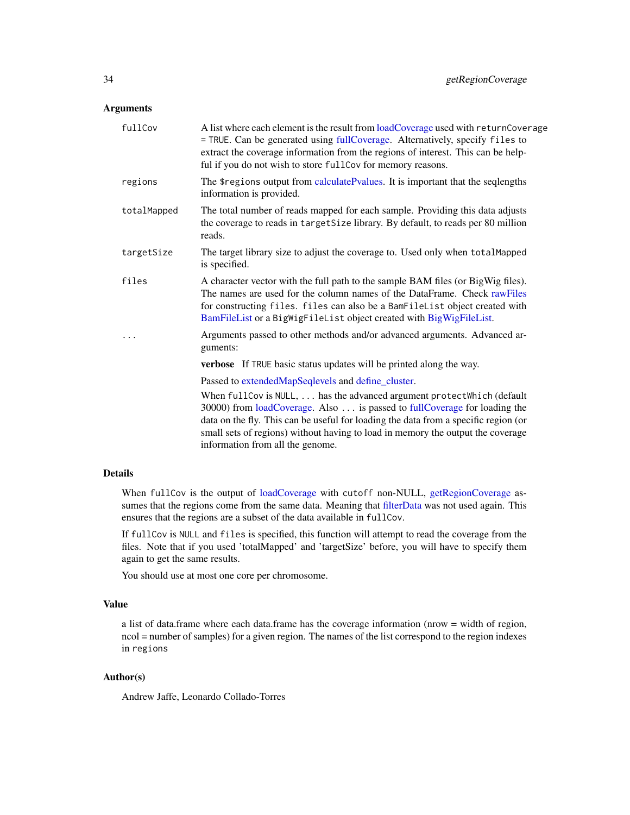# <span id="page-33-0"></span>Arguments

| fullCov     | A list where each element is the result from loadCoverage used with returnCoverage<br>= TRUE. Can be generated using fullCoverage. Alternatively, specify files to<br>extract the coverage information from the regions of interest. This can be help-<br>ful if you do not wish to store fullCov for memory reasons.                                            |
|-------------|------------------------------------------------------------------------------------------------------------------------------------------------------------------------------------------------------------------------------------------------------------------------------------------------------------------------------------------------------------------|
| regions     | The \$regions output from calculatePvalues. It is important that the seqlengths<br>information is provided.                                                                                                                                                                                                                                                      |
| totalMapped | The total number of reads mapped for each sample. Providing this data adjusts<br>the coverage to reads in targetSize library. By default, to reads per 80 million<br>reads.                                                                                                                                                                                      |
| targetSize  | The target library size to adjust the coverage to. Used only when totalMapped<br>is specified.                                                                                                                                                                                                                                                                   |
| files       | A character vector with the full path to the sample BAM files (or BigWig files).<br>The names are used for the column names of the DataFrame. Check rawFiles<br>for constructing files. files can also be a BamFileList object created with<br>BamFileList or a BigWigFileList object created with BigWigFileList.                                               |
| .           | Arguments passed to other methods and/or advanced arguments. Advanced ar-<br>guments:                                                                                                                                                                                                                                                                            |
|             | verbose If TRUE basic status updates will be printed along the way.                                                                                                                                                                                                                                                                                              |
|             | Passed to extendedMapSeqlevels and define_cluster.                                                                                                                                                                                                                                                                                                               |
|             | When fullCov is NULL,  has the advanced argument protectWhich (default<br>30000) from loadCoverage. Also is passed to fullCoverage for loading the<br>data on the fly. This can be useful for loading the data from a specific region (or<br>small sets of regions) without having to load in memory the output the coverage<br>information from all the genome. |
|             |                                                                                                                                                                                                                                                                                                                                                                  |

# Details

When fullCov is the output of [loadCoverage](#page-35-1) with cutoff non-NULL, [getRegionCoverage](#page-32-1) assumes that the regions come from the same data. Meaning that [filterData](#page-22-1) was not used again. This ensures that the regions are a subset of the data available in fullCov.

If fullCov is NULL and files is specified, this function will attempt to read the coverage from the files. Note that if you used 'totalMapped' and 'targetSize' before, you will have to specify them again to get the same results.

You should use at most one core per chromosome.

# Value

a list of data.frame where each data.frame has the coverage information (nrow = width of region, ncol = number of samples) for a given region. The names of the list correspond to the region indexes in regions

# Author(s)

Andrew Jaffe, Leonardo Collado-Torres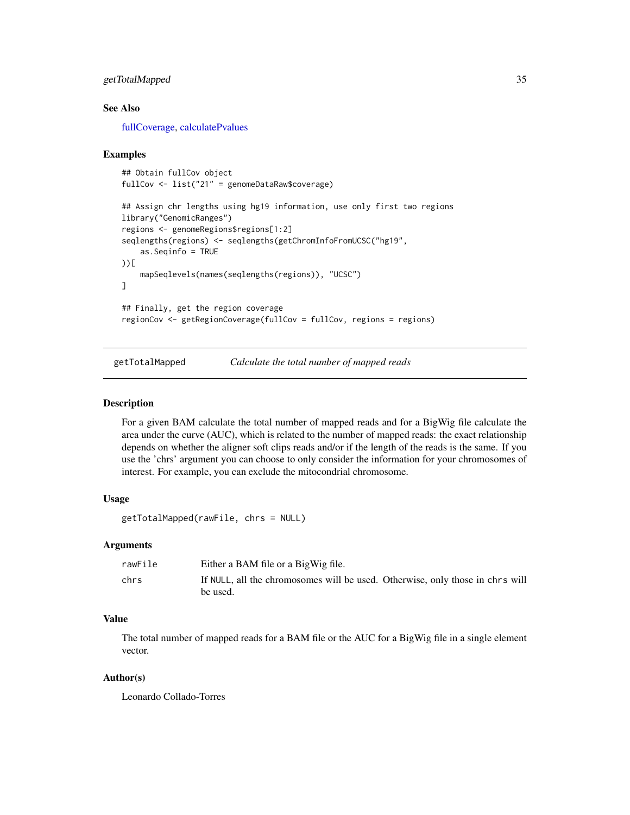# <span id="page-34-0"></span>getTotalMapped 35

# See Also

[fullCoverage,](#page-26-1) [calculatePvalues](#page-6-1)

# Examples

```
## Obtain fullCov object
fullCov <- list("21" = genomeDataRaw$coverage)
## Assign chr lengths using hg19 information, use only first two regions
library("GenomicRanges")
regions <- genomeRegions$regions[1:2]
seqlengths(regions) <- seqlengths(getChromInfoFromUCSC("hg19",
    as.Seqinfo = TRUE
))[
    mapSeqlevels(names(seqlengths(regions)), "UCSC")
]
## Finally, get the region coverage
regionCov <- getRegionCoverage(fullCov = fullCov, regions = regions)
```
<span id="page-34-1"></span>getTotalMapped *Calculate the total number of mapped reads*

# Description

For a given BAM calculate the total number of mapped reads and for a BigWig file calculate the area under the curve (AUC), which is related to the number of mapped reads: the exact relationship depends on whether the aligner soft clips reads and/or if the length of the reads is the same. If you use the 'chrs' argument you can choose to only consider the information for your chromosomes of interest. For example, you can exclude the mitocondrial chromosome.

# Usage

```
getTotalMapped(rawFile, chrs = NULL)
```
#### Arguments

| rawFile | Either a BAM file or a BigWig file.                                           |
|---------|-------------------------------------------------------------------------------|
| chrs    | If NULL, all the chromosomes will be used. Otherwise, only those in chrs will |
|         | be used.                                                                      |

# Value

The total number of mapped reads for a BAM file or the AUC for a BigWig file in a single element vector.

# Author(s)

Leonardo Collado-Torres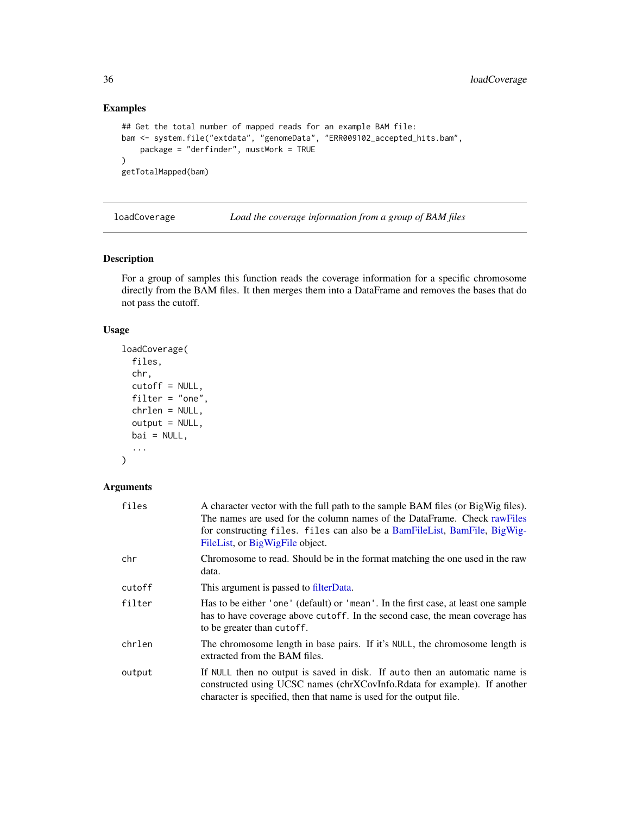# Examples

```
## Get the total number of mapped reads for an example BAM file:
bam <- system.file("extdata", "genomeData", "ERR009102_accepted_hits.bam",
    package = "derfinder", mustWork = TRUE
\mathcal{L}getTotalMapped(bam)
```
<span id="page-35-1"></span>loadCoverage *Load the coverage information from a group of BAM files*

# Description

For a group of samples this function reads the coverage information for a specific chromosome directly from the BAM files. It then merges them into a DataFrame and removes the bases that do not pass the cutoff.

# Usage

```
loadCoverage(
  files,
  chr,
  cutoff = NULL,
  filter = "one",
  chrlen = NULL,
  output = NULL,
 bai = NULL,...
)
```
# Arguments

| files  | A character vector with the full path to the sample BAM files (or BigWig files).<br>The names are used for the column names of the DataFrame. Check rawFiles<br>for constructing files. files can also be a BamFileList, BamFile, BigWig-<br>FileList, or BigWigFile object. |
|--------|------------------------------------------------------------------------------------------------------------------------------------------------------------------------------------------------------------------------------------------------------------------------------|
| chr    | Chromosome to read. Should be in the format matching the one used in the raw<br>data.                                                                                                                                                                                        |
| cutoff | This argument is passed to filterData.                                                                                                                                                                                                                                       |
| filter | Has to be either 'one' (default) or 'mean'. In the first case, at least one sample<br>has to have coverage above cutoff. In the second case, the mean coverage has<br>to be greater than cutoff.                                                                             |
| chrlen | The chromosome length in base pairs. If it's NULL, the chromosome length is<br>extracted from the BAM files.                                                                                                                                                                 |
| output | If NULL then no output is saved in disk. If auto then an automatic name is<br>constructed using UCSC names (chrXCovInfo.Rdata for example). If another<br>character is specified, then that name is used for the output file.                                                |

<span id="page-35-0"></span>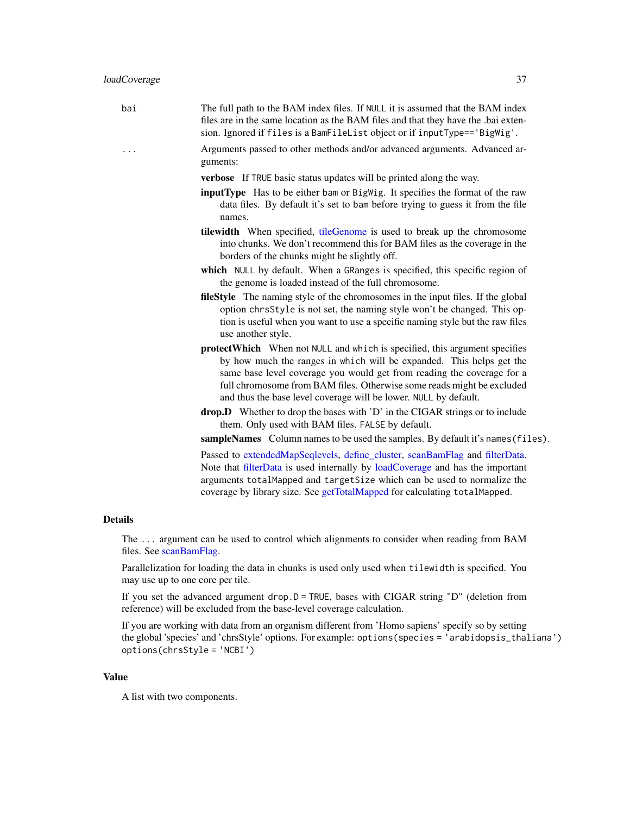<span id="page-36-0"></span>

| bai | The full path to the BAM index files. If NULL it is assumed that the BAM index<br>files are in the same location as the BAM files and that they have the .bai exten-<br>sion. Ignored if files is a BamFileList object or if inputType=='BigWig'.                                                                                                                                 |
|-----|-----------------------------------------------------------------------------------------------------------------------------------------------------------------------------------------------------------------------------------------------------------------------------------------------------------------------------------------------------------------------------------|
| .   | Arguments passed to other methods and/or advanced arguments. Advanced ar-<br>guments:                                                                                                                                                                                                                                                                                             |
|     | verbose If TRUE basic status updates will be printed along the way.                                                                                                                                                                                                                                                                                                               |
|     | <b>inputType</b> Has to be either bam or BigWig. It specifies the format of the raw<br>data files. By default it's set to bam before trying to guess it from the file<br>names.                                                                                                                                                                                                   |
|     | tilewidth When specified, tileGenome is used to break up the chromosome<br>into chunks. We don't recommend this for BAM files as the coverage in the<br>borders of the chunks might be slightly off.                                                                                                                                                                              |
|     | which NULL by default. When a GRanges is specified, this specific region of<br>the genome is loaded instead of the full chromosome.                                                                                                                                                                                                                                               |
|     | fileStyle The naming style of the chromosomes in the input files. If the global<br>option chrsStyle is not set, the naming style won't be changed. This op-<br>tion is useful when you want to use a specific naming style but the raw files<br>use another style.                                                                                                                |
|     | <b>protectWhich</b> When not NULL and which is specified, this argument specifies<br>by how much the ranges in which will be expanded. This helps get the<br>same base level coverage you would get from reading the coverage for a<br>full chromosome from BAM files. Otherwise some reads might be excluded<br>and thus the base level coverage will be lower. NULL by default. |
|     | drop.D Whether to drop the bases with 'D' in the CIGAR strings or to include<br>them. Only used with BAM files. FALSE by default.                                                                                                                                                                                                                                                 |
|     | sampleNames Column names to be used the samples. By default it's names (files).                                                                                                                                                                                                                                                                                                   |
|     | Passed to extendedMapSeqlevels, define_cluster, scanBamFlag and filterData.<br>Note that filterData is used internally by loadCoverage and has the important<br>arguments totalMapped and targetSize which can be used to normalize the<br>coverage by library size. See getTotalMapped for calculating totalMapped.                                                              |
|     |                                                                                                                                                                                                                                                                                                                                                                                   |

# Details

The ... argument can be used to control which alignments to consider when reading from BAM files. See [scanBamFlag.](#page-0-0)

Parallelization for loading the data in chunks is used only used when tilewidth is specified. You may use up to one core per tile.

If you set the advanced argument drop.D = TRUE, bases with CIGAR string "D" (deletion from reference) will be excluded from the base-level coverage calculation.

If you are working with data from an organism different from 'Homo sapiens' specify so by setting the global 'species' and 'chrsStyle' options. For example: options(species = 'arabidopsis\_thaliana') options(chrsStyle = 'NCBI')

# Value

A list with two components.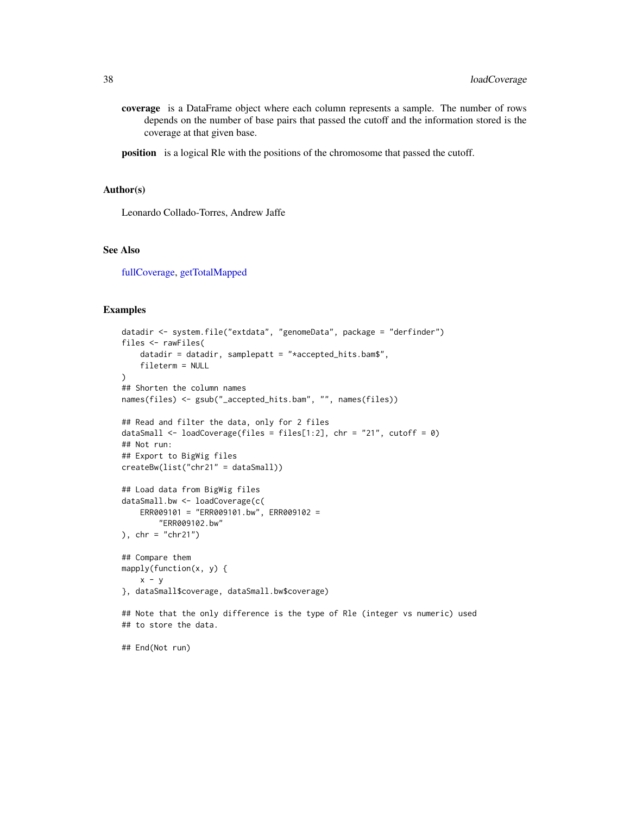<span id="page-37-0"></span>coverage is a DataFrame object where each column represents a sample. The number of rows depends on the number of base pairs that passed the cutoff and the information stored is the coverage at that given base.

position is a logical Rle with the positions of the chromosome that passed the cutoff.

### Author(s)

Leonardo Collado-Torres, Andrew Jaffe

# See Also

[fullCoverage,](#page-26-1) [getTotalMapped](#page-34-1)

```
datadir <- system.file("extdata", "genomeData", package = "derfinder")
files <- rawFiles(
   datadir = datadir, samplepatt = "*accepted_hits.bam$",
    fileterm = NULL
)
## Shorten the column names
names(files) <- gsub("_accepted_hits.bam", "", names(files))
## Read and filter the data, only for 2 files
dataSmall <- loadCoverage(files = files[1:2], chr = "21", cutoff = 0)
## Not run:
## Export to BigWig files
createBw(list("chr21" = dataSmall))
## Load data from BigWig files
dataSmall.bw <- loadCoverage(c(
   ERR009101 = "ERR009101.bw", ERR009102 =
       "ERR009102.bw"
), chr = "chr21")## Compare them
mapply(function(x, y) {
    x - y}, dataSmall$coverage, dataSmall.bw$coverage)
## Note that the only difference is the type of Rle (integer vs numeric) used
## to store the data.
## End(Not run)
```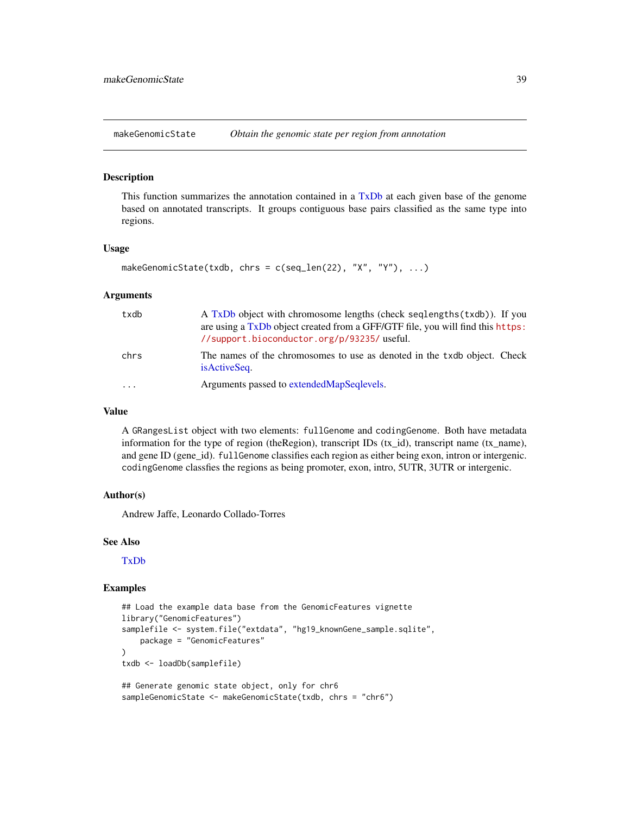<span id="page-38-1"></span><span id="page-38-0"></span>

#### Description

This function summarizes the annotation contained in a [TxDb](#page-0-0) at each given base of the genome based on annotated transcripts. It groups contiguous base pairs classified as the same type into regions.

# Usage

```
makeGenomicState(txdb, chrs = c(seq_len(22), "X", "Y"), ...)
```
#### Arguments

| txdb | A TxDb object with chromosome lengths (check seqlengths (txdb)). If you<br>are using a TxDb object created from a GFF/GTF file, you will find this https:<br>//support.bioconductor.org/p/93235/useful. |
|------|---------------------------------------------------------------------------------------------------------------------------------------------------------------------------------------------------------|
| chrs | The names of the chromosomes to use as denoted in the txdb object. Check<br>is Active Seq.                                                                                                              |
| .    | Arguments passed to extended Map Seqlevels.                                                                                                                                                             |

# Value

A GRangesList object with two elements: fullGenome and codingGenome. Both have metadata information for the type of region (the Region), transcript IDs (tx\_id), transcript name (tx\_name), and gene ID (gene\_id). fullGenome classifies each region as either being exon, intron or intergenic. codingGenome classfies the regions as being promoter, exon, intro, 5UTR, 3UTR or intergenic.

# Author(s)

Andrew Jaffe, Leonardo Collado-Torres

#### See Also

[TxDb](#page-0-0)

```
## Load the example data base from the GenomicFeatures vignette
library("GenomicFeatures")
samplefile <- system.file("extdata", "hg19_knownGene_sample.sqlite",
   package = "GenomicFeatures"
)
txdb <- loadDb(samplefile)
## Generate genomic state object, only for chr6
sampleGenomicState <- makeGenomicState(txdb, chrs = "chr6")
```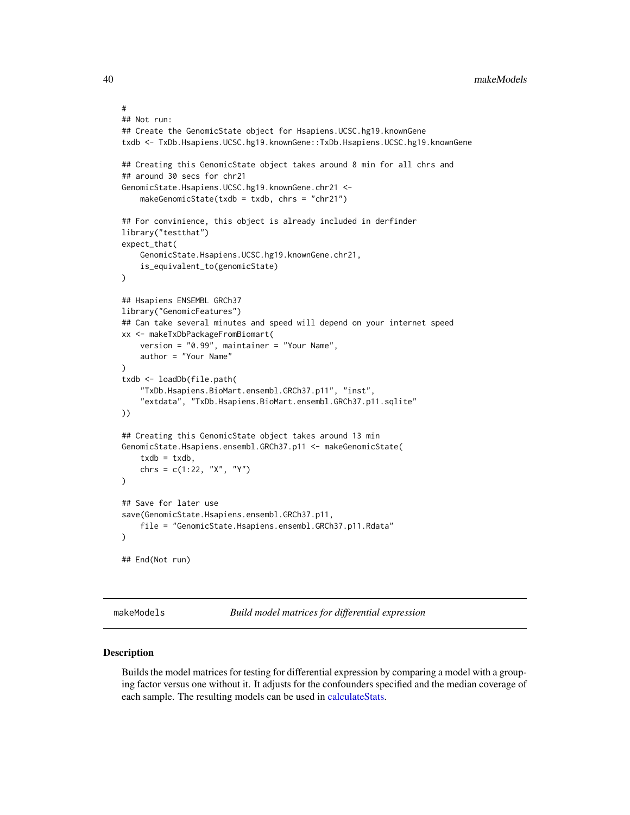```
#
## Not run:
## Create the GenomicState object for Hsapiens.UCSC.hg19.knownGene
txdb <- TxDb.Hsapiens.UCSC.hg19.knownGene::TxDb.Hsapiens.UCSC.hg19.knownGene
## Creating this GenomicState object takes around 8 min for all chrs and
## around 30 secs for chr21
GenomicState.Hsapiens.UCSC.hg19.knownGene.chr21 <-
    makeGenomicState(txdb = txdb, chrs = "chr21")
## For convinience, this object is already included in derfinder
library("testthat")
expect_that(
    GenomicState.Hsapiens.UCSC.hg19.knownGene.chr21,
    is_equivalent_to(genomicState)
)
## Hsapiens ENSEMBL GRCh37
library("GenomicFeatures")
## Can take several minutes and speed will depend on your internet speed
xx <- makeTxDbPackageFromBiomart(
    version = "0.99", maintainer = "Your Name",
    author = "Your Name"
)
txdb <- loadDb(file.path(
    "TxDb.Hsapiens.BioMart.ensembl.GRCh37.p11", "inst",
    "extdata", "TxDb.Hsapiens.BioMart.ensembl.GRCh37.p11.sqlite"
))
## Creating this GenomicState object takes around 13 min
GenomicState.Hsapiens.ensembl.GRCh37.p11 <- makeGenomicState(
    txdb = txdb,chrs = c(1:22, "X", "Y"))
## Save for later use
save(GenomicState.Hsapiens.ensembl.GRCh37.p11,
    file = "GenomicState.Hsapiens.ensembl.GRCh37.p11.Rdata"
)
## End(Not run)
```
<span id="page-39-1"></span>makeModels *Build model matrices for differential expression*

# Description

Builds the model matrices for testing for differential expression by comparing a model with a grouping factor versus one without it. It adjusts for the confounders specified and the median coverage of each sample. The resulting models can be used in [calculateStats.](#page-10-1)

<span id="page-39-0"></span>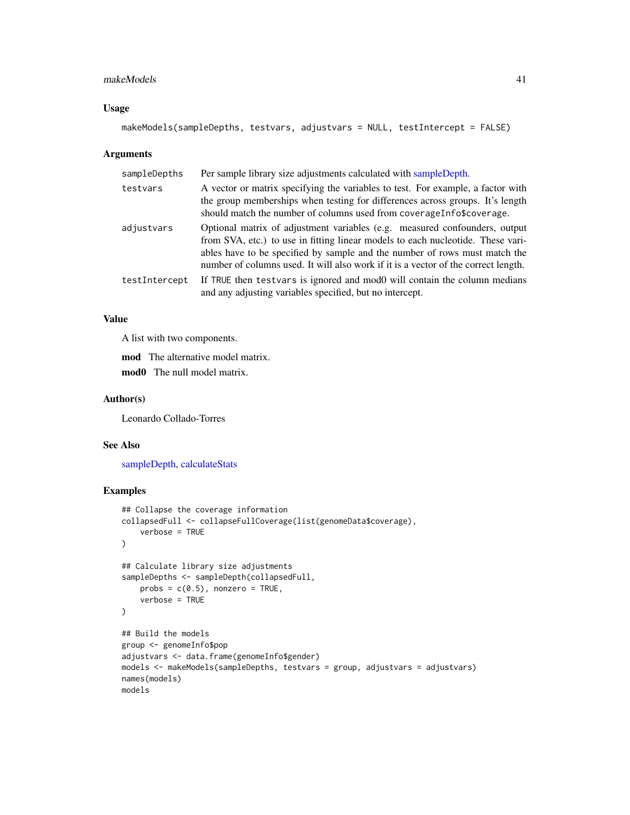#### <span id="page-40-0"></span>makeModels 41

# Usage

```
makeModels(sampleDepths, testvars, adjustvars = NULL, testIntercept = FALSE)
```
# Arguments

| sampleDepths  | Per sample library size adjustments calculated with sampleDepth.                                                                                                                                                                                                                                                                  |
|---------------|-----------------------------------------------------------------------------------------------------------------------------------------------------------------------------------------------------------------------------------------------------------------------------------------------------------------------------------|
| testvars      | A vector or matrix specifying the variables to test. For example, a factor with<br>the group memberships when testing for differences across groups. It's length<br>should match the number of columns used from coverageInfo\$coverage.                                                                                          |
| adjustvars    | Optional matrix of adjustment variables (e.g. measured confounders, output<br>from SVA, etc.) to use in fitting linear models to each nucleotide. These vari-<br>ables have to be specified by sample and the number of rows must match the<br>number of columns used. It will also work if it is a vector of the correct length. |
| testIntercept | If TRUE then testvars is ignored and mod0 will contain the column medians<br>and any adjusting variables specified, but no intercept.                                                                                                                                                                                             |

# Value

A list with two components.

mod The alternative model matrix.

mod0 The null model matrix.

### Author(s)

Leonardo Collado-Torres

#### See Also

[sampleDepth,](#page-52-1) [calculateStats](#page-10-1)

```
## Collapse the coverage information
collapsedFull <- collapseFullCoverage(list(genomeData$coverage),
    verbose = TRUE
\mathcal{L}## Calculate library size adjustments
sampleDepths <- sampleDepth(collapsedFull,
    probs = c(0.5), nonzero = TRUE,
    verbose = TRUE
\mathcal{L}## Build the models
group <- genomeInfo$pop
adjustvars <- data.frame(genomeInfo$gender)
models <- makeModels(sampleDepths, testvars = group, adjustvars = adjustvars)
names(models)
models
```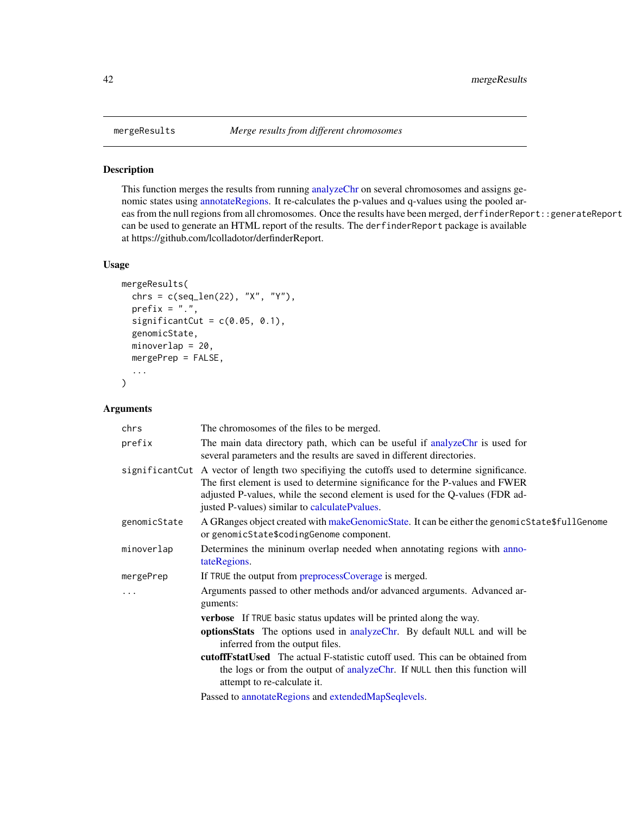# Description

This function merges the results from running [analyzeChr](#page-2-1) on several chromosomes and assigns genomic states using [annotateRegions.](#page-5-1) It re-calculates the p-values and q-values using the pooled areas from the null regions from all chromosomes. Once the results have been merged, derfinderReport::generateReport can be used to generate an HTML report of the results. The derfinderReport package is available at https://github.com/lcolladotor/derfinderReport.

# Usage

```
mergeResults(
  chrs = c(\text{seq\_len}(22), "X", "Y"),
 prefix = ".',
  significantCut = c(0.05, 0.1),
  genomicState,
 minoverlap = 20,
 mergePrep = FALSE,
  ...
)
```
# Arguments

| chrs         | The chromosomes of the files to be merged.                                                                                                                                                                                                                                                                        |
|--------------|-------------------------------------------------------------------------------------------------------------------------------------------------------------------------------------------------------------------------------------------------------------------------------------------------------------------|
| prefix       | The main data directory path, which can be useful if analyzeChr is used for<br>several parameters and the results are saved in different directories.                                                                                                                                                             |
|              | significant Cut A vector of length two specifiying the cutoffs used to determine significance.<br>The first element is used to determine significance for the P-values and FWER<br>adjusted P-values, while the second element is used for the Q-values (FDR ad-<br>justed P-values) similar to calculatePvalues. |
| genomicState | A GRanges object created with makeGenomicState. It can be either the genomicState\$fullGenome<br>or genomicState\$codingGenome component.                                                                                                                                                                         |
| minoverlap   | Determines the mininum overlap needed when annotating regions with anno-<br>tateRegions.                                                                                                                                                                                                                          |
| mergePrep    | If TRUE the output from preprocessCoverage is merged.                                                                                                                                                                                                                                                             |
| .            | Arguments passed to other methods and/or advanced arguments. Advanced ar-<br>guments:                                                                                                                                                                                                                             |
|              | <b>verbose</b> If TRUE basic status updates will be printed along the way.                                                                                                                                                                                                                                        |
|              | optionsStats The options used in analyzeChr. By default NULL and will be<br>inferred from the output files.                                                                                                                                                                                                       |
|              | <b>cutoff Fstat Used</b> The actual F-statistic cutoff used. This can be obtained from<br>the logs or from the output of analyzeChr. If NULL then this function will<br>attempt to re-calculate it.                                                                                                               |
|              | Passed to annotateRegions and extendedMapSeqlevels.                                                                                                                                                                                                                                                               |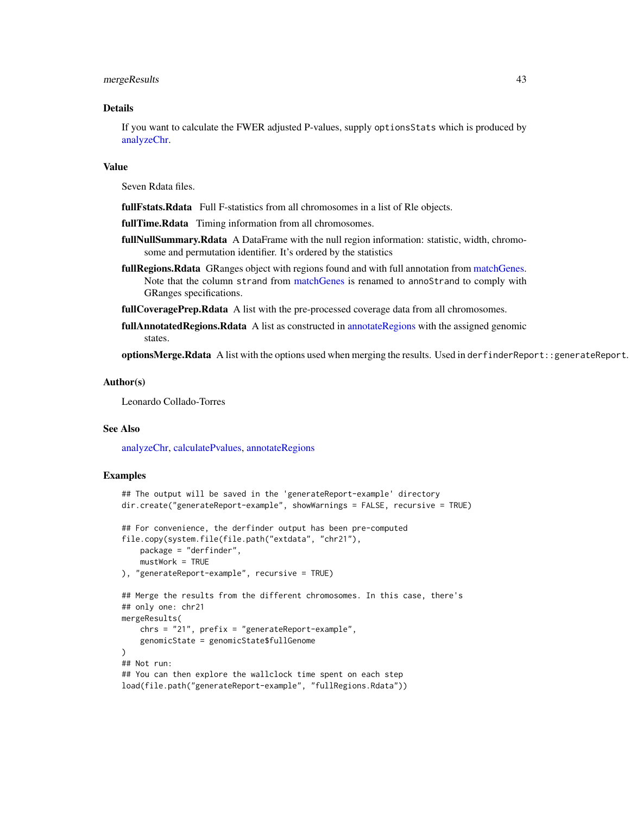<span id="page-42-0"></span>mergeResults 43

#### Details

If you want to calculate the FWER adjusted P-values, supply optionsStats which is produced by [analyzeChr.](#page-2-1)

# Value

Seven Rdata files.

fullFstats.Rdata Full F-statistics from all chromosomes in a list of Rle objects.

fullTime.Rdata Timing information from all chromosomes.

- fullNullSummary.Rdata A DataFrame with the null region information: statistic, width, chromosome and permutation identifier. It's ordered by the statistics
- fullRegions.Rdata GRanges object with regions found and with full annotation from [matchGenes.](#page-0-0) Note that the column strand from [matchGenes](#page-0-0) is renamed to annoStrand to comply with GRanges specifications.

fullCoveragePrep.Rdata A list with the pre-processed coverage data from all chromosomes.

**fullAnnotatedRegions.Rdata** A list as constructed in [annotateRegions](#page-5-1) with the assigned genomic states.

optionsMerge.Rdata A list with the options used when merging the results. Used in derfinderReport::generateReport.

#### Author(s)

Leonardo Collado-Torres

# See Also

[analyzeChr,](#page-2-1) [calculatePvalues,](#page-6-1) [annotateRegions](#page-5-1)

```
## The output will be saved in the 'generateReport-example' directory
dir.create("generateReport-example", showWarnings = FALSE, recursive = TRUE)
## For convenience, the derfinder output has been pre-computed
file.copy(system.file(file.path("extdata", "chr21"),
   package = "derfinder",
   mustWork = TRUE
), "generateReport-example", recursive = TRUE)
## Merge the results from the different chromosomes. In this case, there's
## only one: chr21
mergeResults(
   chrs = "21", prefix = "generateReport-example",
    genomicState = genomicState$fullGenome
)
## Not run:
## You can then explore the wallclock time spent on each step
load(file.path("generateReport-example", "fullRegions.Rdata"))
```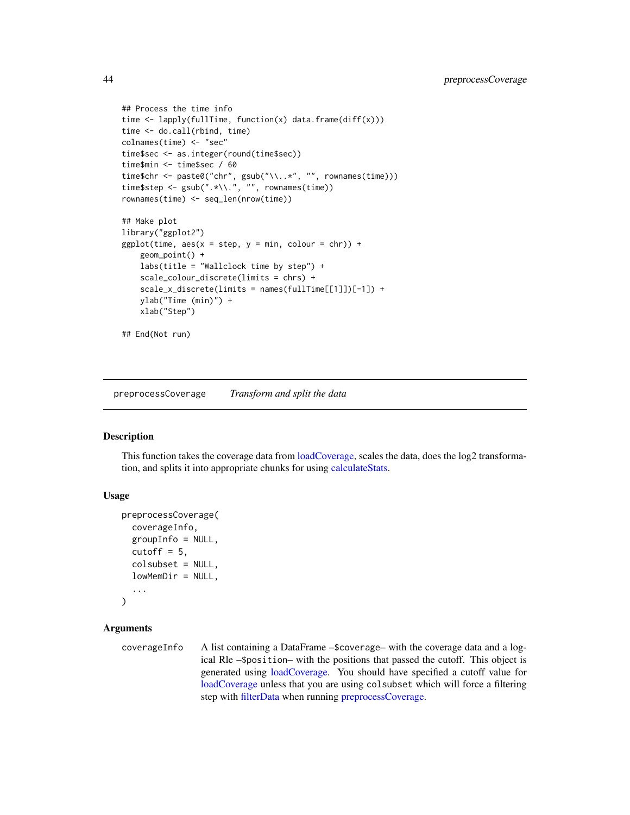```
## Process the time info
time <- lapply(fullTime, function(x) data.frame(diff(x)))
time <- do.call(rbind, time)
colnames(time) <- "sec"
time$sec <- as.integer(round(time$sec))
time$min <- time$sec / 60
time$chr <- paste0("chr", gsub("\\..*", "", rownames(time)))
time$step <- gsub(".*\\.", "", rownames(time))
rownames(time) <- seq_len(nrow(time))
## Make plot
library("ggplot2")
ggplot(time, aes(x = step, y = min, colour = chr)) +geom_point() +
    labs(title = "Wallclock time by step") +
    scale_colour_discrete(limits = chrs) +
    scale_x_discrete(limits = names(fullTime[[1]])[-1]) +
    ylab("Time (min)") +
    xlab("Step")
## End(Not run)
```
<span id="page-43-1"></span>preprocessCoverage *Transform and split the data*

# Description

This function takes the coverage data from [loadCoverage,](#page-35-1) scales the data, does the log2 transformation, and splits it into appropriate chunks for using [calculateStats.](#page-10-1)

# Usage

```
preprocessCoverage(
  coverageInfo,
  groupInfo = NULL,
  cutoff = 5,
  colsubset = NULL,
  lowMemDir = NULL,
  ...
\mathcal{L}
```
# Arguments

coverageInfo A list containing a DataFrame –\$coverage– with the coverage data and a logical Rle –\$position– with the positions that passed the cutoff. This object is generated using [loadCoverage.](#page-35-1) You should have specified a cutoff value for [loadCoverage](#page-35-1) unless that you are using colsubset which will force a filtering step with [filterData](#page-22-1) when running [preprocessCoverage.](#page-43-1)

<span id="page-43-0"></span>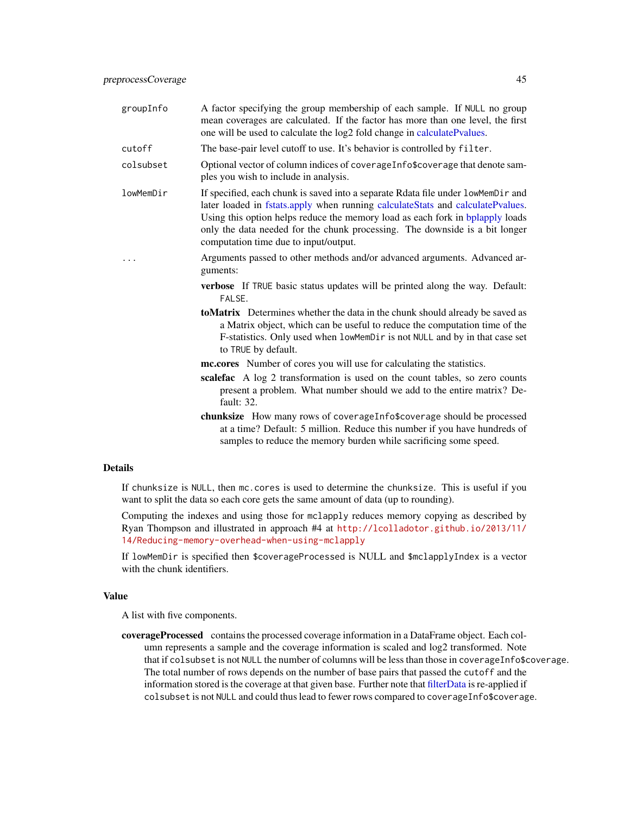<span id="page-44-0"></span>

| groupInfo | A factor specifying the group membership of each sample. If NULL no group<br>mean coverages are calculated. If the factor has more than one level, the first<br>one will be used to calculate the log2 fold change in calculatePvalues.                                                                                                                                     |
|-----------|-----------------------------------------------------------------------------------------------------------------------------------------------------------------------------------------------------------------------------------------------------------------------------------------------------------------------------------------------------------------------------|
| cutoff    | The base-pair level cutoff to use. It's behavior is controlled by filter.                                                                                                                                                                                                                                                                                                   |
| colsubset | Optional vector of column indices of coverage Infost overage that denote sam-<br>ples you wish to include in analysis.                                                                                                                                                                                                                                                      |
| lowMemDir | If specified, each chunk is saved into a separate Rdata file under lowMemDir and<br>later loaded in fstats.apply when running calculateStats and calculatePvalues.<br>Using this option helps reduce the memory load as each fork in bplapply loads<br>only the data needed for the chunk processing. The downside is a bit longer<br>computation time due to input/output. |
| .         | Arguments passed to other methods and/or advanced arguments. Advanced ar-<br>guments:                                                                                                                                                                                                                                                                                       |
|           | <b>verbose</b> If TRUE basic status updates will be printed along the way. Default:<br>FALSE.                                                                                                                                                                                                                                                                               |
|           | <b>toMatrix</b> Determines whether the data in the chunk should already be saved as                                                                                                                                                                                                                                                                                         |

- toMatrix Determines whether the data in the chunk should already be saved as a Matrix object, which can be useful to reduce the computation time of the F-statistics. Only used when lowMemDir is not NULL and by in that case set to TRUE by default.
- mc.cores Number of cores you will use for calculating the statistics.
- scalefac A log 2 transformation is used on the count tables, so zero counts present a problem. What number should we add to the entire matrix? Default: 32.
- chunksize How many rows of coverageInfo\$coverage should be processed at a time? Default: 5 million. Reduce this number if you have hundreds of samples to reduce the memory burden while sacrificing some speed.

#### Details

If chunksize is NULL, then mc.cores is used to determine the chunksize. This is useful if you want to split the data so each core gets the same amount of data (up to rounding).

Computing the indexes and using those for mclapply reduces memory copying as described by Ryan Thompson and illustrated in approach #4 at [http://lcolladotor.github.io/2013/11/](http://lcolladotor.github.io/2013/11/14/Reducing-memory-overhead-when-using-mclapply) [14/Reducing-memory-overhead-when-using-mclapply](http://lcolladotor.github.io/2013/11/14/Reducing-memory-overhead-when-using-mclapply)

If lowMemDir is specified then \$coverageProcessed is NULL and \$mclapplyIndex is a vector with the chunk identifiers.

# Value

A list with five components.

coverageProcessed contains the processed coverage information in a DataFrame object. Each column represents a sample and the coverage information is scaled and log2 transformed. Note that if colsubset is not NULL the number of columns will be less than those in coverageInfo\$coverage. The total number of rows depends on the number of base pairs that passed the cutoff and the information stored is the coverage at that given base. Further note that [filterData](#page-22-1) is re-applied if colsubset is not NULL and could thus lead to fewer rows compared to coverageInfo\$coverage.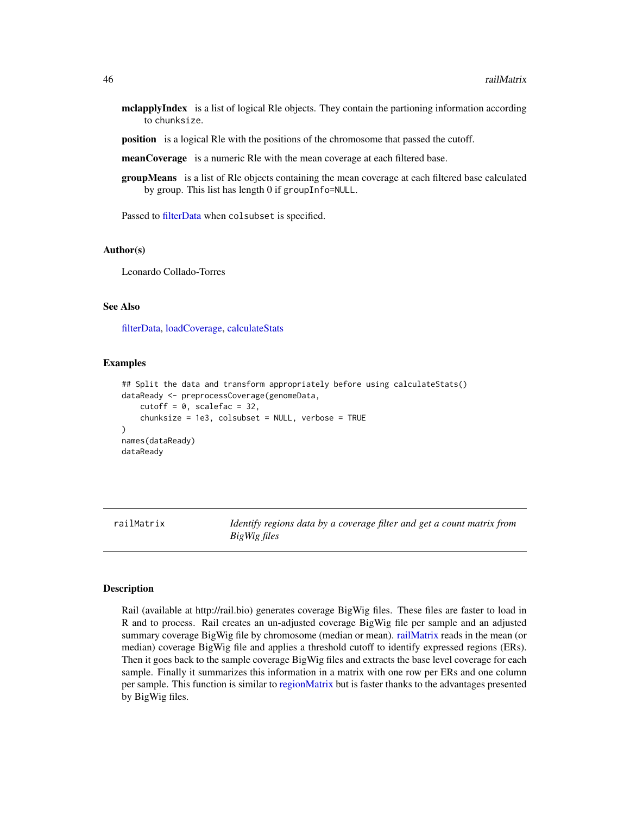- <span id="page-45-0"></span>mclapplyIndex is a list of logical Rle objects. They contain the partioning information according to chunksize.
- position is a logical Rle with the positions of the chromosome that passed the cutoff.
- meanCoverage is a numeric Rle with the mean coverage at each filtered base.
- groupMeans is a list of Rle objects containing the mean coverage at each filtered base calculated by group. This list has length 0 if groupInfo=NULL.

Passed to [filterData](#page-22-1) when colsubset is specified.

#### Author(s)

Leonardo Collado-Torres

#### See Also

[filterData,](#page-22-1) [loadCoverage,](#page-35-1) [calculateStats](#page-10-1)

# Examples

```
## Split the data and transform appropriately before using calculateStats()
dataReady <- preprocessCoverage(genomeData,
    cutoff = 0, scalefac = 32,
   chunksize = 1e3, colsubset = NULL, verbose = TRUE
)
names(dataReady)
dataReady
```
<span id="page-45-1"></span>railMatrix *Identify regions data by a coverage filter and get a count matrix from BigWig files*

#### Description

Rail (available at http://rail.bio) generates coverage BigWig files. These files are faster to load in R and to process. Rail creates an un-adjusted coverage BigWig file per sample and an adjusted summary coverage BigWig file by chromosome (median or mean). [railMatrix](#page-45-1) reads in the mean (or median) coverage BigWig file and applies a threshold cutoff to identify expressed regions (ERs). Then it goes back to the sample coverage BigWig files and extracts the base level coverage for each sample. Finally it summarizes this information in a matrix with one row per ERs and one column per sample. This function is similar to [regionMatrix](#page-49-1) but is faster thanks to the advantages presented by BigWig files.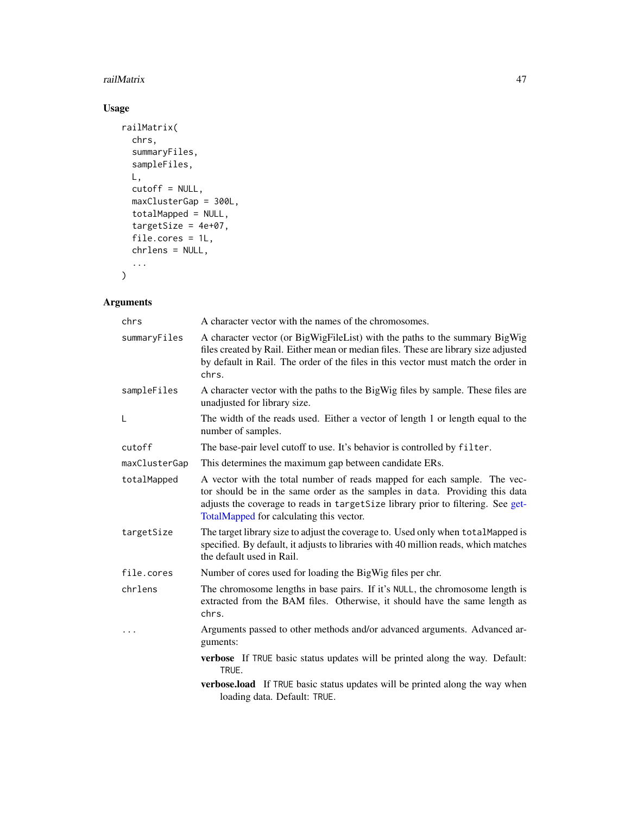# <span id="page-46-0"></span>railMatrix 47

# Usage

```
railMatrix(
 chrs,
 summaryFiles,
 sampleFiles,
 L,
 cutoff = NULL,
 maxClusterGap = 300L,
 totalMapped = NULL,
 targetSize = 4e+07,
 file.cores = 1L,
 chrlens = NULL,
  ...
)
```
# Arguments

| chrs          | A character vector with the names of the chromosomes.                                                                                                                                                                                                                                   |
|---------------|-----------------------------------------------------------------------------------------------------------------------------------------------------------------------------------------------------------------------------------------------------------------------------------------|
| summaryFiles  | A character vector (or BigWigFileList) with the paths to the summary BigWig<br>files created by Rail. Either mean or median files. These are library size adjusted<br>by default in Rail. The order of the files in this vector must match the order in<br>chrs.                        |
| sampleFiles   | A character vector with the paths to the BigWig files by sample. These files are<br>unadjusted for library size.                                                                                                                                                                        |
| L             | The width of the reads used. Either a vector of length 1 or length equal to the<br>number of samples.                                                                                                                                                                                   |
| cutoff        | The base-pair level cutoff to use. It's behavior is controlled by filter.                                                                                                                                                                                                               |
| maxClusterGap | This determines the maximum gap between candidate ERs.                                                                                                                                                                                                                                  |
| totalMapped   | A vector with the total number of reads mapped for each sample. The vec-<br>tor should be in the same order as the samples in data. Providing this data<br>adjusts the coverage to reads in targetSize library prior to filtering. See get-<br>TotalMapped for calculating this vector. |
| targetSize    | The target library size to adjust the coverage to. Used only when totalMapped is<br>specified. By default, it adjusts to libraries with 40 million reads, which matches<br>the default used in Rail.                                                                                    |
| file.cores    | Number of cores used for loading the BigWig files per chr.                                                                                                                                                                                                                              |
| chrlens       | The chromosome lengths in base pairs. If it's NULL, the chromosome length is<br>extracted from the BAM files. Otherwise, it should have the same length as<br>chrs.                                                                                                                     |
|               | Arguments passed to other methods and/or advanced arguments. Advanced ar-<br>guments:                                                                                                                                                                                                   |
|               | verbose If TRUE basic status updates will be printed along the way. Default:<br>TRUE.                                                                                                                                                                                                   |
|               | verbose.load If TRUE basic status updates will be printed along the way when<br>loading data. Default: TRUE.                                                                                                                                                                            |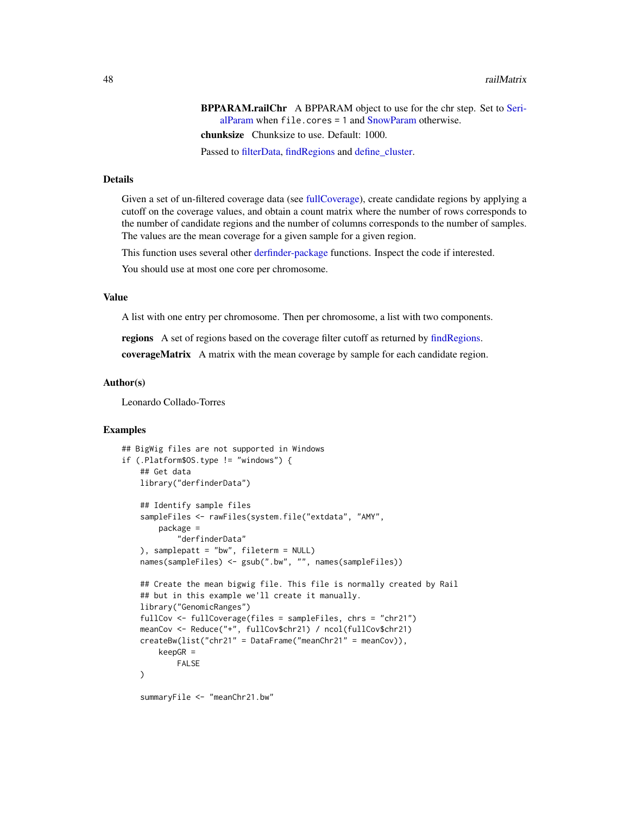<span id="page-47-0"></span>BPPARAM.railChr A BPPARAM object to use for the chr step. Set to [Seri](#page-0-0)[alParam](#page-0-0) when file.cores = 1 and [SnowParam](#page-0-0) otherwise. chunksize Chunksize to use. Default: 1000.

Passed to [filterData,](#page-22-1) [findRegions](#page-24-1) and [define\\_cluster.](#page-18-1)

# Details

Given a set of un-filtered coverage data (see [fullCoverage\)](#page-26-1), create candidate regions by applying a cutoff on the coverage values, and obtain a count matrix where the number of rows corresponds to the number of candidate regions and the number of columns corresponds to the number of samples. The values are the mean coverage for a given sample for a given region.

This function uses several other [derfinder-package](#page-0-0) functions. Inspect the code if interested.

You should use at most one core per chromosome.

# Value

A list with one entry per chromosome. Then per chromosome, a list with two components.

regions A set of regions based on the coverage filter cutoff as returned by [findRegions.](#page-24-1)

coverageMatrix A matrix with the mean coverage by sample for each candidate region.

#### Author(s)

Leonardo Collado-Torres

```
## BigWig files are not supported in Windows
if (.Platform$OS.type != "windows") {
   ## Get data
   library("derfinderData")
   ## Identify sample files
   sampleFiles <- rawFiles(system.file("extdata", "AMY",
       package =
           "derfinderData"
   ), samplepatt = "bw", fileterm = NULL)
   names(sampleFiles) <- gsub(".bw", "", names(sampleFiles))
   ## Create the mean bigwig file. This file is normally created by Rail
   ## but in this example we'll create it manually.
   library("GenomicRanges")
   fullCov <- fullCoverage(files = sampleFiles, chrs = "chr21")
   meanCov <- Reduce("+", fullCov$chr21) / ncol(fullCov$chr21)
   createBw(list("chr21" = DataFrame("meanChr21" = meanCov)),
       keepGR =
           FALSE
   )
   summaryFile <- "meanChr21.bw"
```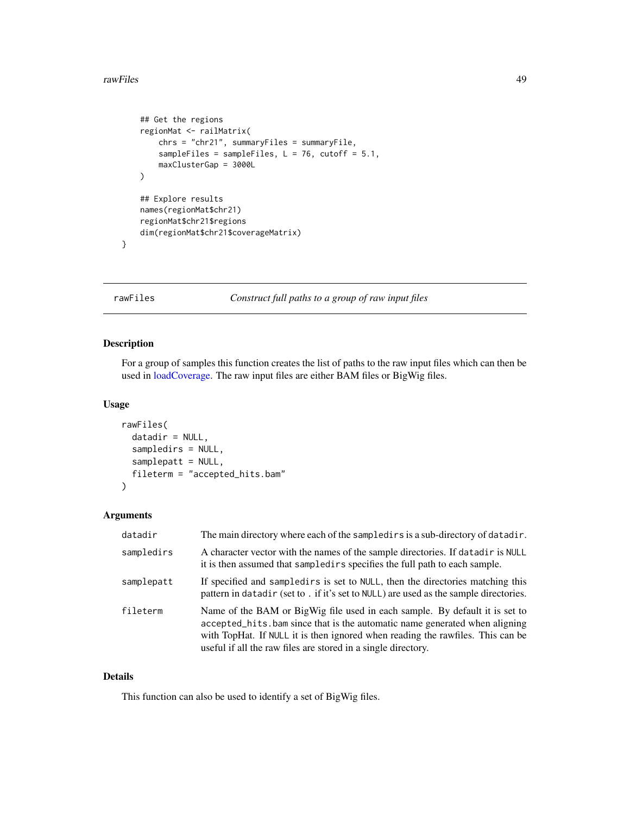#### <span id="page-48-0"></span>rawFiles **49**

```
## Get the regions
regionMat <- railMatrix(
    chrs = "chr21", summaryFiles = summaryFile,
    sampleFiles = sampleFiles, L = 76, cutoff = 5.1,
    maxClusterGap = 3000L
)
## Explore results
names(regionMat$chr21)
regionMat$chr21$regions
dim(regionMat$chr21$coverageMatrix)
```
}

#### <span id="page-48-1"></span>rawFiles *Construct full paths to a group of raw input files*

# Description

For a group of samples this function creates the list of paths to the raw input files which can then be used in [loadCoverage.](#page-35-1) The raw input files are either BAM files or BigWig files.

#### Usage

```
rawFiles(
  datadir = NULL,sampledirs = NULL,
  samplepatt = NULL,
  fileterm = "accepted_hits.bam"
\lambda
```
# Arguments

| datadir    | The main directory where each of the sampledirs is a sub-directory of datadir.                                                                                                                                                                                                                               |
|------------|--------------------------------------------------------------------------------------------------------------------------------------------------------------------------------------------------------------------------------------------------------------------------------------------------------------|
| sampledirs | A character vector with the names of the sample directories. If datadir is NULL<br>it is then assumed that sampled in specifies the full path to each sample.                                                                                                                                                |
| samplepatt | If specified and sampled in sect to NULL, then the directories matching this<br>pattern in datadir (set to . if it's set to NULL) are used as the sample directories.                                                                                                                                        |
| fileterm   | Name of the BAM or BigWig file used in each sample. By default it is set to<br>accepted_hits.bam since that is the automatic name generated when aligning<br>with TopHat. If NULL it is then ignored when reading the rawfiles. This can be<br>useful if all the raw files are stored in a single directory. |

# Details

This function can also be used to identify a set of BigWig files.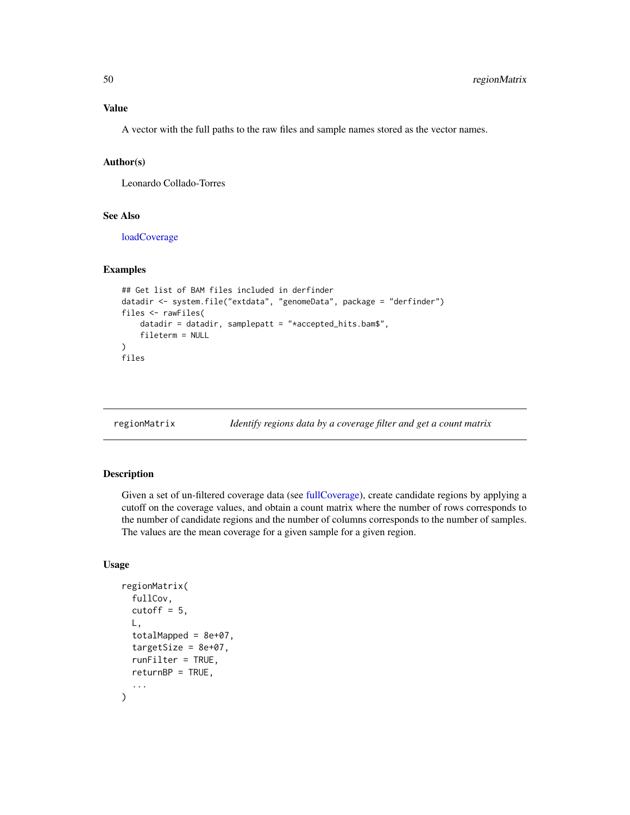<span id="page-49-0"></span>A vector with the full paths to the raw files and sample names stored as the vector names.

#### Author(s)

Leonardo Collado-Torres

# See Also

[loadCoverage](#page-35-1)

#### Examples

```
## Get list of BAM files included in derfinder
datadir <- system.file("extdata", "genomeData", package = "derfinder")
files <- rawFiles(
    datadir = datadir, samplepatt = "*accepted_hits.bam$",
    fileterm = NULL
\mathcal{L}files
```
<span id="page-49-1"></span>regionMatrix *Identify regions data by a coverage filter and get a count matrix*

# Description

Given a set of un-filtered coverage data (see [fullCoverage\)](#page-26-1), create candidate regions by applying a cutoff on the coverage values, and obtain a count matrix where the number of rows corresponds to the number of candidate regions and the number of columns corresponds to the number of samples. The values are the mean coverage for a given sample for a given region.

#### Usage

```
regionMatrix(
  fullCov,
  cutoff = 5,
 L,
  totalMapped = 8e+07,
  targetSize = 8e+07,
  runFilter = TRUE,
  returnBP = TRUE,
  ...
)
```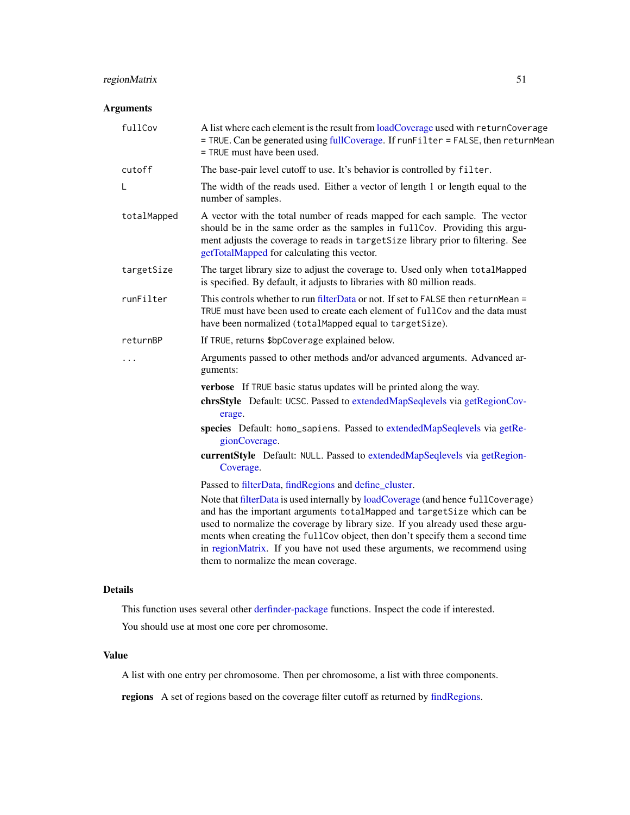# <span id="page-50-0"></span>regionMatrix 51

# Arguments

| fullCov     | A list where each element is the result from loadCoverage used with returnCoverage<br>= TRUE. Can be generated using fullCoverage. If runFilter = FALSE, then returnMean<br>= TRUE must have been used.                                                                                                                                                                                                                                              |
|-------------|------------------------------------------------------------------------------------------------------------------------------------------------------------------------------------------------------------------------------------------------------------------------------------------------------------------------------------------------------------------------------------------------------------------------------------------------------|
| cutoff      | The base-pair level cutoff to use. It's behavior is controlled by filter.                                                                                                                                                                                                                                                                                                                                                                            |
| L           | The width of the reads used. Either a vector of length 1 or length equal to the<br>number of samples.                                                                                                                                                                                                                                                                                                                                                |
| totalMapped | A vector with the total number of reads mapped for each sample. The vector<br>should be in the same order as the samples in fullCov. Providing this argu-<br>ment adjusts the coverage to reads in targetSize library prior to filtering. See<br>getTotalMapped for calculating this vector.                                                                                                                                                         |
| targetSize  | The target library size to adjust the coverage to. Used only when totalMapped<br>is specified. By default, it adjusts to libraries with 80 million reads.                                                                                                                                                                                                                                                                                            |
| runFilter   | This controls whether to run filterData or not. If set to FALSE then returnMean =<br>TRUE must have been used to create each element of fullCov and the data must<br>have been normalized (totalMapped equal to targetSize).                                                                                                                                                                                                                         |
| returnBP    | If TRUE, returns \$bpCoverage explained below.                                                                                                                                                                                                                                                                                                                                                                                                       |
|             | Arguments passed to other methods and/or advanced arguments. Advanced ar-<br>guments:                                                                                                                                                                                                                                                                                                                                                                |
|             | verbose If TRUE basic status updates will be printed along the way.                                                                                                                                                                                                                                                                                                                                                                                  |
|             | chrsStyle Default: UCSC. Passed to extendedMapSeqlevels via getRegionCov-<br>erage.                                                                                                                                                                                                                                                                                                                                                                  |
|             | species Default: homo_sapiens. Passed to extendedMapSeqlevels via getRe-<br>gionCoverage.                                                                                                                                                                                                                                                                                                                                                            |
|             | currentStyle Default: NULL. Passed to extendedMapSeqlevels via getRegion-<br>Coverage.                                                                                                                                                                                                                                                                                                                                                               |
|             | Passed to filterData, findRegions and define_cluster.                                                                                                                                                                                                                                                                                                                                                                                                |
|             | Note that filterData is used internally by loadCoverage (and hence fullCoverage)<br>and has the important arguments totalMapped and targetSize which can be<br>used to normalize the coverage by library size. If you already used these argu-<br>ments when creating the fullCov object, then don't specify them a second time<br>in regionMatrix. If you have not used these arguments, we recommend using<br>them to normalize the mean coverage. |

# Details

This function uses several other [derfinder-package](#page-0-0) functions. Inspect the code if interested.

You should use at most one core per chromosome.

# Value

A list with one entry per chromosome. Then per chromosome, a list with three components.

regions A set of regions based on the coverage filter cutoff as returned by [findRegions.](#page-24-1)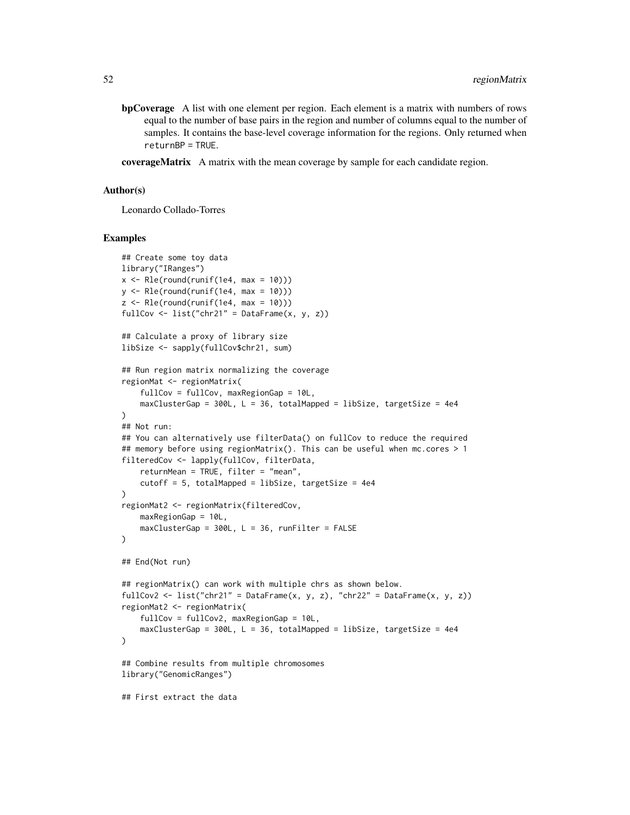- bpCoverage A list with one element per region. Each element is a matrix with numbers of rows equal to the number of base pairs in the region and number of columns equal to the number of samples. It contains the base-level coverage information for the regions. Only returned when returnBP = TRUE.
- **coverageMatrix** A matrix with the mean coverage by sample for each candidate region.

#### Author(s)

Leonardo Collado-Torres

```
## Create some toy data
library("IRanges")
x \leq -Rle(round(runif(1e4, max = 10)))y \leftarrow \text{Rle}(\text{round}(\text{runif}(\text{1e4}, \text{max} = 10)))z \leq Rle(round(runif(1e4, max = 10)))
fullCov <- list("chr21" = DataFrame(x, y, z))
## Calculate a proxy of library size
libSize <- sapply(fullCov$chr21, sum)
## Run region matrix normalizing the coverage
regionMat <- regionMatrix(
    fullCov = fullCov, maxRegionGap = 10L,
    maxClusterGap = 300L, L = 36, totalMapped = libSize, targetSize = 4e4
)
## Not run:
## You can alternatively use filterData() on fullCov to reduce the required
## memory before using regionMatrix(). This can be useful when mc.cores > 1
filteredCov <- lapply(fullCov, filterData,
    returnMean = TRUE, filter = "mean",
    cutoff = 5, totalMapped = libSize, targetSize = 4e4
)
regionMat2 <- regionMatrix(filteredCov,
    maxRegionGap = 10L,
    maxClusterGap = 300L, L = 36, runFilter = FALSE)
## End(Not run)
## regionMatrix() can work with multiple chrs as shown below.
fullCov2 <- list("chr21" = DataFrame(x, y, z), "chr22" = DataFrame(x, y, z))
regionMat2 <- regionMatrix(
    fullCov = fullCov2, maxRegionGap = 10L,
    maxClusterGap = 300L, L = 36, totalMapped = libSize, targetSize = 4e4
)
## Combine results from multiple chromosomes
library("GenomicRanges")
## First extract the data
```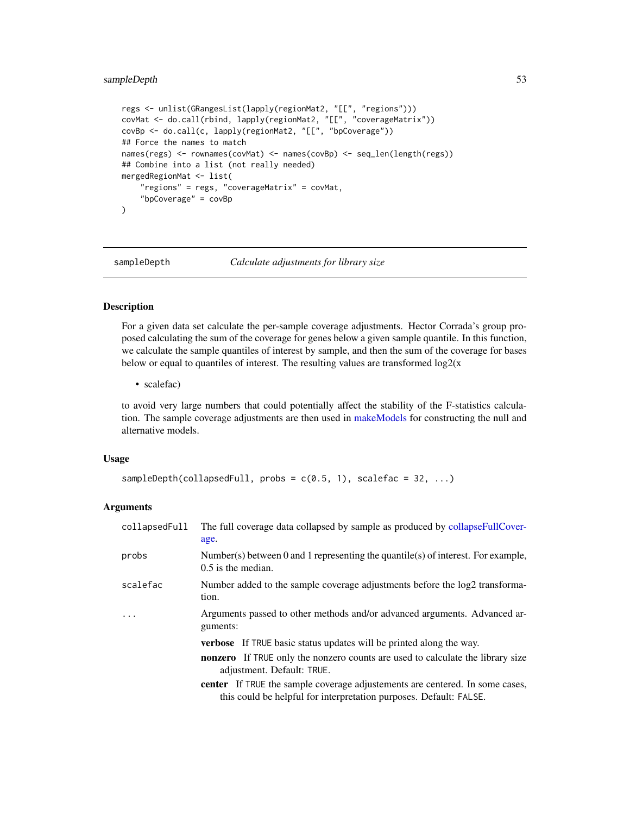# <span id="page-52-0"></span>sampleDepth 53

```
regs <- unlist(GRangesList(lapply(regionMat2, "[[", "regions")))
covMat <- do.call(rbind, lapply(regionMat2, "[[", "coverageMatrix"))
covBp <- do.call(c, lapply(regionMat2, "[[", "bpCoverage"))
## Force the names to match
names(regs) <- rownames(covMat) <- names(covBp) <- seq_len(length(regs))
## Combine into a list (not really needed)
mergedRegionMat <- list(
    "regions" = regs, "coverageMatrix" = covMat,
    "bpCoverage" = covBp
)
```
<span id="page-52-1"></span>

```
sampleDepth Calculate adjustments for library size
```
# Description

For a given data set calculate the per-sample coverage adjustments. Hector Corrada's group proposed calculating the sum of the coverage for genes below a given sample quantile. In this function, we calculate the sample quantiles of interest by sample, and then the sum of the coverage for bases below or equal to quantiles of interest. The resulting values are transformed  $log2(x)$ 

• scalefac)

to avoid very large numbers that could potentially affect the stability of the F-statistics calculation. The sample coverage adjustments are then used in [makeModels](#page-39-1) for constructing the null and alternative models.

# Usage

```
sampleDepth(collapsedFull, probs = c(0.5, 1), scalefac = 32, ...)
```
# Arguments

| collapsedFull | The full coverage data collapsed by sample as produced by collapseFullCover-<br>age.                                                                      |
|---------------|-----------------------------------------------------------------------------------------------------------------------------------------------------------|
| probs         | Number(s) between 0 and 1 representing the quantile(s) of interest. For example,<br>$0.5$ is the median.                                                  |
| scalefac      | Number added to the sample coverage adjustments before the log2 transforma-<br>tion.                                                                      |
| $\cdot$       | Arguments passed to other methods and/or advanced arguments. Advanced ar-<br>guments:                                                                     |
|               | <b>verbose</b> If TRUE basic status updates will be printed along the way.                                                                                |
|               | <b>nonzero</b> If TRUE only the nonzero counts are used to calculate the library size<br>adjustment. Default: TRUE.                                       |
|               | <b>center</b> If TRUE the sample coverage adjustements are centered. In some cases,<br>this could be helpful for interpretation purposes. Default: FALSE. |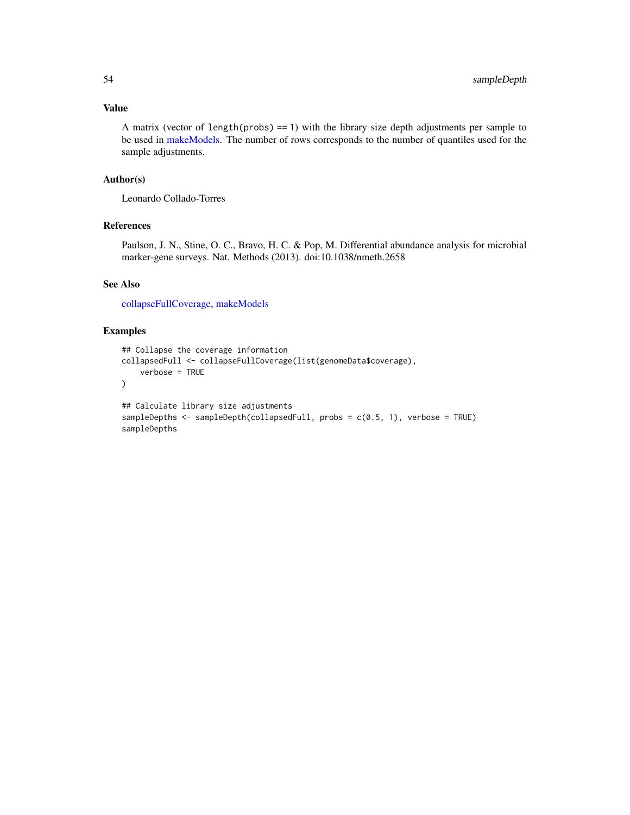# <span id="page-53-0"></span>Value

A matrix (vector of length(probs)  $=$  1) with the library size depth adjustments per sample to be used in [makeModels.](#page-39-1) The number of rows corresponds to the number of quantiles used for the sample adjustments.

# Author(s)

Leonardo Collado-Torres

# References

Paulson, J. N., Stine, O. C., Bravo, H. C. & Pop, M. Differential abundance analysis for microbial marker-gene surveys. Nat. Methods (2013). doi:10.1038/nmeth.2658

#### See Also

[collapseFullCoverage,](#page-12-1) [makeModels](#page-39-1)

```
## Collapse the coverage information
collapsedFull <- collapseFullCoverage(list(genomeData$coverage),
    verbose = TRUE
)
## Calculate library size adjustments
sampleDepths <- sampleDepth(collapsedFull, probs = c(0.5, 1), verbose = TRUE)
sampleDepths
```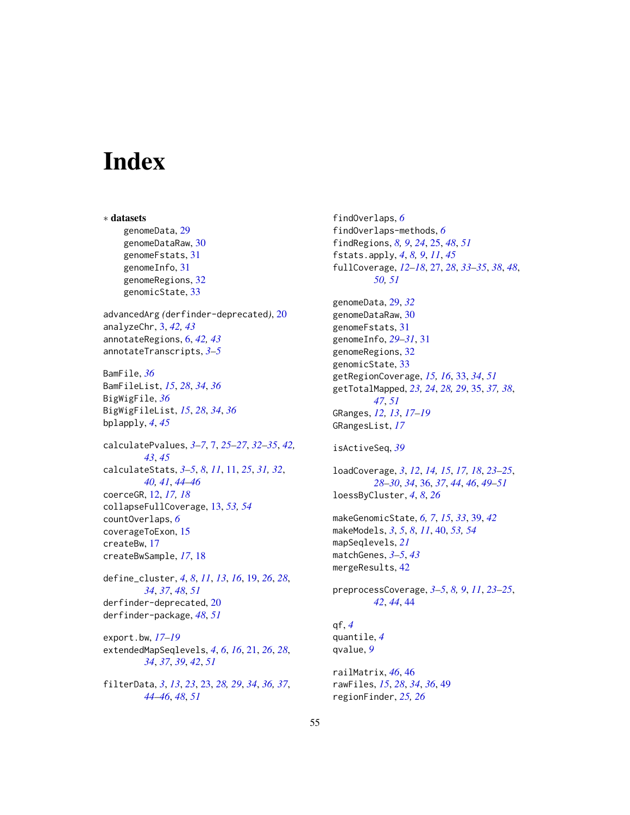# <span id="page-54-0"></span>**Index**

∗ datasets genomeData, [29](#page-28-0) genomeDataRaw, [30](#page-29-0) genomeFstats, [31](#page-30-0) genomeInfo, [31](#page-30-0) genomeRegions, [32](#page-31-0) genomicState, [33](#page-32-0) advancedArg *(*derfinder-deprecated*)*, [20](#page-19-0) analyzeChr, [3,](#page-2-0) *[42,](#page-41-0) [43](#page-42-0)* annotateRegions, [6,](#page-5-0) *[42,](#page-41-0) [43](#page-42-0)* annotateTranscripts, *[3–](#page-2-0)[5](#page-4-0)* BamFile, *[36](#page-35-0)* BamFileList, *[15](#page-14-0)*, *[28](#page-27-0)*, *[34](#page-33-0)*, *[36](#page-35-0)* BigWigFile, *[36](#page-35-0)* BigWigFileList, *[15](#page-14-0)*, *[28](#page-27-0)*, *[34](#page-33-0)*, *[36](#page-35-0)* bplapply, *[4](#page-3-0)*, *[45](#page-44-0)* calculatePvalues, *[3](#page-2-0)[–7](#page-6-0)*, [7,](#page-6-0) *[25–](#page-24-0)[27](#page-26-0)*, *[32–](#page-31-0)[35](#page-34-0)*, *[42,](#page-41-0) [43](#page-42-0)*, *[45](#page-44-0)* calculateStats, *[3](#page-2-0)[–5](#page-4-0)*, *[8](#page-7-0)*, *[11](#page-10-0)*, [11,](#page-10-0) *[25](#page-24-0)*, *[31,](#page-30-0) [32](#page-31-0)*, *[40,](#page-39-0) [41](#page-40-0)*, *[44](#page-43-0)[–46](#page-45-0)* coerceGR, [12,](#page-11-0) *[17,](#page-16-0) [18](#page-17-0)* collapseFullCoverage, [13,](#page-12-0) *[53,](#page-52-0) [54](#page-53-0)* countOverlaps, *[6](#page-5-0)* coverageToExon, [15](#page-14-0) createBw, [17](#page-16-0) createBwSample, *[17](#page-16-0)*, [18](#page-17-0) define\_cluster, *[4](#page-3-0)*, *[8](#page-7-0)*, *[11](#page-10-0)*, *[13](#page-12-0)*, *[16](#page-15-0)*, [19,](#page-18-0) *[26](#page-25-0)*, *[28](#page-27-0)*, *[34](#page-33-0)*, *[37](#page-36-0)*, *[48](#page-47-0)*, *[51](#page-50-0)* derfinder-deprecated, [20](#page-19-0) derfinder-package, *[48](#page-47-0)*, *[51](#page-50-0)* export.bw, *[17](#page-16-0)[–19](#page-18-0)* extendedMapSeqlevels, *[4](#page-3-0)*, *[6](#page-5-0)*, *[16](#page-15-0)*, [21,](#page-20-0) *[26](#page-25-0)*, *[28](#page-27-0)*, *[34](#page-33-0)*, *[37](#page-36-0)*, *[39](#page-38-0)*, *[42](#page-41-0)*, *[51](#page-50-0)*

filterData, *[3](#page-2-0)*, *[13](#page-12-0)*, *[23](#page-22-0)*, [23,](#page-22-0) *[28,](#page-27-0) [29](#page-28-0)*, *[34](#page-33-0)*, *[36,](#page-35-0) [37](#page-36-0)*, *[44](#page-43-0)[–46](#page-45-0)*, *[48](#page-47-0)*, *[51](#page-50-0)*

findOverlaps, *[6](#page-5-0)* findOverlaps-methods, *[6](#page-5-0)* findRegions, *[8,](#page-7-0) [9](#page-8-0)*, *[24](#page-23-0)*, [25,](#page-24-0) *[48](#page-47-0)*, *[51](#page-50-0)* fstats.apply, *[4](#page-3-0)*, *[8,](#page-7-0) [9](#page-8-0)*, *[11](#page-10-0)*, *[45](#page-44-0)* fullCoverage, *[12](#page-11-0)[–18](#page-17-0)*, [27,](#page-26-0) *[28](#page-27-0)*, *[33](#page-32-0)[–35](#page-34-0)*, *[38](#page-37-0)*, *[48](#page-47-0)*, *[50,](#page-49-0) [51](#page-50-0)* genomeData, [29,](#page-28-0) *[32](#page-31-0)* genomeDataRaw, [30](#page-29-0) genomeFstats, [31](#page-30-0) genomeInfo, *[29](#page-28-0)[–31](#page-30-0)*, [31](#page-30-0) genomeRegions, [32](#page-31-0) genomicState, [33](#page-32-0) getRegionCoverage, *[15,](#page-14-0) [16](#page-15-0)*, [33,](#page-32-0) *[34](#page-33-0)*, *[51](#page-50-0)* getTotalMapped, *[23,](#page-22-0) [24](#page-23-0)*, *[28,](#page-27-0) [29](#page-28-0)*, [35,](#page-34-0) *[37,](#page-36-0) [38](#page-37-0)*, *[47](#page-46-0)*, *[51](#page-50-0)* GRanges, *[12,](#page-11-0) [13](#page-12-0)*, *[17](#page-16-0)[–19](#page-18-0)* GRangesList, *[17](#page-16-0)* isActiveSeq, *[39](#page-38-0)* loadCoverage, *[3](#page-2-0)*, *[12](#page-11-0)*, *[14,](#page-13-0) [15](#page-14-0)*, *[17,](#page-16-0) [18](#page-17-0)*, *[23](#page-22-0)[–25](#page-24-0)*, *[28](#page-27-0)[–30](#page-29-0)*, *[34](#page-33-0)*, [36,](#page-35-0) *[37](#page-36-0)*, *[44](#page-43-0)*, *[46](#page-45-0)*, *[49](#page-48-0)[–51](#page-50-0)* loessByCluster, *[4](#page-3-0)*, *[8](#page-7-0)*, *[26](#page-25-0)* makeGenomicState, *[6,](#page-5-0) [7](#page-6-0)*, *[15](#page-14-0)*, *[33](#page-32-0)*, [39,](#page-38-0) *[42](#page-41-0)* makeModels, *[3](#page-2-0)*, *[5](#page-4-0)*, *[8](#page-7-0)*, *[11](#page-10-0)*, [40,](#page-39-0) *[53,](#page-52-0) [54](#page-53-0)* mapSeqlevels, *[21](#page-20-0)* matchGenes, *[3](#page-2-0)[–5](#page-4-0)*, *[43](#page-42-0)* mergeResults, [42](#page-41-0) preprocessCoverage, *[3](#page-2-0)[–5](#page-4-0)*, *[8,](#page-7-0) [9](#page-8-0)*, *[11](#page-10-0)*, *[23](#page-22-0)[–25](#page-24-0)*, *[42](#page-41-0)*, *[44](#page-43-0)*, [44](#page-43-0) qf, *[4](#page-3-0)* quantile, *[4](#page-3-0)* qvalue, *[9](#page-8-0)* railMatrix, *[46](#page-45-0)*, [46](#page-45-0) rawFiles, *[15](#page-14-0)*, *[28](#page-27-0)*, *[34](#page-33-0)*, *[36](#page-35-0)*, [49](#page-48-0) regionFinder, *[25,](#page-24-0) [26](#page-25-0)*